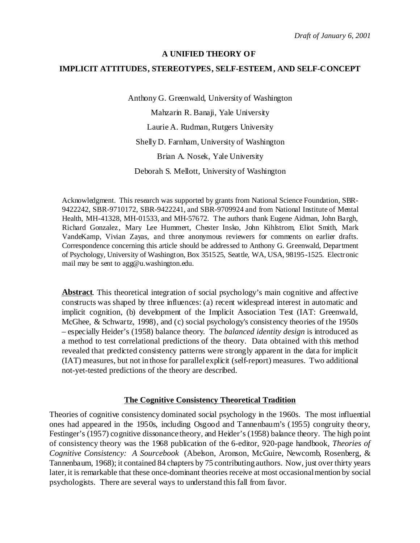## **A UNIFIED THEORY OF**

## **IMPLICIT ATTITUDES, STEREOTYPES, SELF-ESTEEM, AND SELF-CONCEPT**

Anthony G. Greenwald, University of Washington Mahzarin R. Banaji, Yale University Laurie A. Rudman, Rutgers University Shelly D. Farnham, University of Washington Brian A. Nosek, Yale University Deborah S. Mellott, University of Washington

Acknowledgment. This research was supported by grants from National Science Foundation, SBR-9422242, SBR-9710172, SBR-9422241, and SBR-9709924 and from National Institute of Mental Health, MH-41328, MH-01533, and MH-57672. The authors thank Eugene Aidman, John Bargh, Richard Gonzalez, Mary Lee Hummert, Chester Insko, John Kihlstrom, Eliot Smith, Mark VandeKamp, Vivian Zayas, and three anonymous reviewers for comments on earlier drafts. Correspondence concerning this article should be addressed to Anthony G. Greenwald, Department of Psychology, University of Washington, Box 351525, Seattle, WA, USA, 98195-1525. Electronic mail may be sent to agg@u.washington.edu.

**Abstract**. This theoretical integration of social psychology's main cognitive and affective constructs was shaped by three influences: (a) recent widespread interest in automatic and implicit cognition, (b) development of the Implicit Association Test (IAT: Greenwald, McGhee, & Schwartz, 1998), and (c) social psychology's consistency theories of the 1950s – especially Heider's (1958) balance theory. The *balanced identity design* is introduced as a method to test correlational predictions of the theory. Data obtained with this method revealed that predicted consistency patterns were strongly apparent in the data for implicit (IAT) measures, but not in those for parallel explicit (self-report) measures. Two additional not-yet-tested predictions of the theory are described.

## **The Cognitive Consistency Theoretical Tradition**

Theories of cognitive consistency dominated social psychology in the 1960s. The most influential ones had appeared in the 1950s, including Osgood and Tannenbaum's (1955) congruity theory, Festinger's (1957) cognitive dissonance theory, and Heider's (1958) balance theory. The high point of consistency theory was the 1968 publication of the 6-editor, 920-page handbook, *Theories of Cognitive Consistency: A Sourcebook* (Abelson, Aronson, McGuire, Newcomb, Rosenberg, & Tannenbaum, 1968); it contained 84 chapters by 75 contributing authors. Now, just over thirty years later, it is remarkable that these once-dominant theories receive at most occasional mention by social psychologists. There are several ways to understand this fall from favor.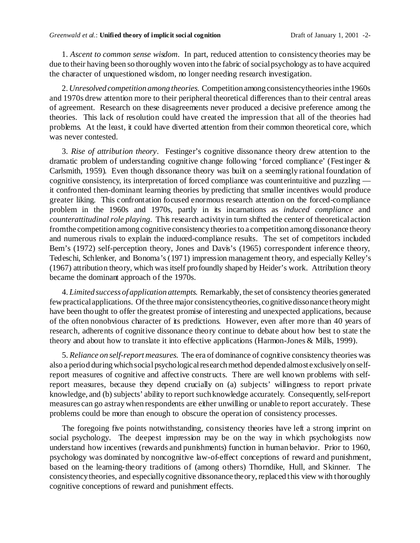1. *Ascent to common sense wisdom*. In part, reduced attention to consistency theories may be due to their having been so thoroughly woven into the fabric of social psychology as to have acquired the character of unquestioned wisdom, no longer needing research investigation.

2. *Unresolved competition among theories*. Competition among consistency theories in the 1960s and 1970s drew attention more to their peripheral theoretical differences than to their central areas of agreement. Research on these disagreements never produced a decisive preference among the theories. This lack of resolution could have created the impression that all of the theories had problems. At the least, it could have diverted attention from their common theoretical core, which was never contested.

3. *Rise of attribution theory*. Festinger's cognitive dissonance theory drew attention to the dramatic problem of understanding cognitive change following 'forced compliance' (Festinger & Carlsmith, 1959). Even though dissonance theory was built on a seemingly rational foundation of cognitive consistency, its interpretation of forced compliance was counterintuitive and puzzling it confronted then-dominant learning theories by predicting that smaller incentives would produce greater liking. This confrontation focused enormous research attention on the forced-compliance problem in the 1960s and 1970s, partly in its incarnations as *induced compliance* and *counterattitudinal role playing*. This research activity in turn shifted the center of theoretical action from the competition among cognitive consistency theories to a competition among dissonance theory and numerous rivals to explain the induced-compliance results. The set of competitors included Bem's (1972) self-perception theory, Jones and Davis's (1965) correspondent inference theory, Tedeschi, Schlenker, and Bonoma's (1971) impression management theory, and especially Kelley's (1967) attribution theory, which was itself profoundly shaped by Heider's work. Attribution theory became the dominant approach of the 1970s.

4. *Limited success of application attempts*. Remarkably, the set of consistency theories generated few practical applications. Of the three major consistency theories, cognitive dissonance theory might have been thought to offer the greatest promise of interesting and unexpected applications, because of the often nonobvious character of its predictions. However, even after more than 40 years of research, adherents of cognitive dissonance theory continue to debate about how best to state the theory and about how to translate it into effective applications (Harmon-Jones & Mills, 1999).

5. *Reliance on self-report measures*. The era of dominance of cognitive consistency theories was also a period during which social psychological research method depended almost exclusively on selfreport measures of cognitive and affective constructs. There are well known problems with selfreport measures, because they depend crucially on (a) subjects' willingness to report private knowledge, and (b) subjects' ability to report such knowledge accurately. Consequently, self-report measures can go astray when respondents are either unwilling or unable to report accurately. These problems could be more than enough to obscure the operation of consistency processes.

The foregoing five points notwithstanding, consistency theories have left a strong imprint on social psychology. The deepest impression may be on the way in which psychologists now understand how incentives (rewards and punishments) function in human behavior. Prior to 1960, psychology was dominated by noncognitive law-of-effect conceptions of reward and punishment, based on the learning-theory traditions of (among others) Thorndike, Hull, and Skinner. The consistency theories, and especially cognitive dissonance theory, replaced this view with thoroughly cognitive conceptions of reward and punishment effects.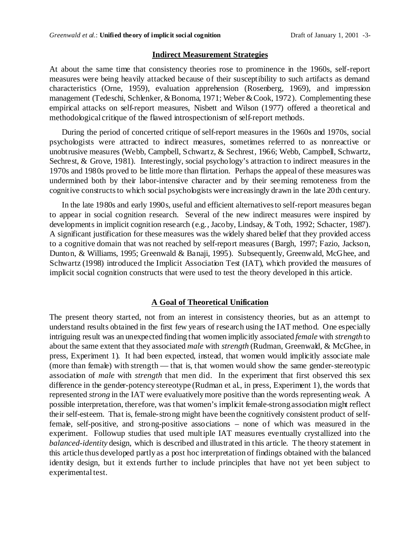#### **Indirect Measurement Strategies**

At about the same time that consistency theories rose to prominence in the 1960s, self-report measures were being heavily attacked because of their susceptibility to such artifacts as demand characteristics (Orne, 1959), evaluation apprehension (Rosenberg, 1969), and impression management (Tedeschi, Schlenker, & Bonoma, 1971; Weber & Cook, 1972). Complementing these empirical attacks on self-report measures, Nisbett and Wilson (1977) offered a theoretical and methodological critique of the flawed introspectionism of self-report methods.

During the period of concerted critique of self-report measures in the 1960s and 1970s, social psychologists were attracted to indirect measures, sometimes referred to as nonreactive or unobtrusive measures (Webb, Campbell, Schwartz, & Sechrest, 1966; Webb, Campbell, Schwartz, Sechrest, & Grove, 1981). Interestingly, social psychology's attraction to indirect measures in the 1970s and 1980s proved to be little more than flirtation. Perhaps the appeal of these measures was undermined both by their labor-intensive character and by their seeming remoteness from the cognitive constructs to which social psychologists were increasingly drawn in the late 20th century.

In the late 1980s and early 1990s, useful and efficient alternatives to self-report measures began to appear in social cognition research. Several of the new indirect measures were inspired by developments in implicit cognition research (e.g., Jacoby, Lindsay, & Toth, 1992; Schacter, 1987). A significant justification for these measures was the widely shared belief that they provided access to a cognitive domain that was not reached by self-report measures (Bargh, 1997; Fazio, Jackson, Dunton, & Williams, 1995; Greenwald & Banaji, 1995). Subsequently, Greenwald, McGhee, and Schwartz (1998) introduced the Implicit Association Test (IAT), which provided the measures of implicit social cognition constructs that were used to test the theory developed in this article.

### **A Goal of Theoretical Unification**

The present theory started, not from an interest in consistency theories, but as an attempt to understand results obtained in the first few years of research using the IAT method. One especially intriguing result was an unexpected finding that women implicitly associated *female* with *strength* to about the same extent that they associated *male* with *strength* (Rudman, Greenwald, & McGhee, in press, Experiment 1). It had been expected, instead, that women would implicitly associate male (more than female) with strength — that is, that women would show the same gender-stereotypic association of *male* with *strength* that men did. In the experiment that first observed this sex difference in the gender-potency stereotype (Rudman et al., in press, Experiment 1), the words that represented *strong* in the IAT were evaluatively more positive than the words representing *weak*. A possible interpretation, therefore, was that women's implicit female-strong association might reflect their self-esteem. That is, female-strong might have been the cognitively consistent product of selffemale, self-positive, and strong-positive associations – none of which was measured in the experiment. Followup studies that used multiple IAT measures eventually crystallized into the *balanced-identity* design, which is described and illustrated in this article. The theory statement in this article thus developed partly as a post hoc interpretation of findings obtained with the balanced identity design, but it extends further to include principles that have not yet been subject to experimental test.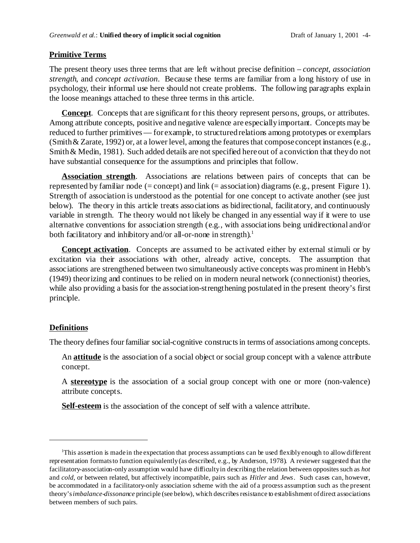## **Primitive Terms**

The present theory uses three terms that are left without precise definition – *concept*, *association strength*, and *concept activation*. Because these terms are familiar from a long history of use in psychology, their informal use here should not create problems. The following paragraphs explain the loose meanings attached to these three terms in this article.

**Concept**. Concepts that are significant for this theory represent persons, groups, or attributes. Among attribute concepts, positive and negative valence are especially important. Concepts may be reduced to further primitives — for example, to structured relations among prototypes or exemplars (Smith & Zarate, 1992) or, at a lower level, among the features that compose concept instances (e.g., Smith & Medin, 1981). Such added details are not specified here out of a conviction that they do not have substantial consequence for the assumptions and principles that follow.

**Association strength**. Associations are relations between pairs of concepts that can be represented by familiar node (= concept) and link (= association) diagrams (e.g., present Figure 1). Strength of association is understood as the potential for one concept to activate another (see just below). The theory in this article treats associations as bidirectional, facilitatory, and continuously variable in strength. The theory would not likely be changed in any essential way if it were to use alternative conventions for association strength (e.g., with associations being unidirectional and/or both facilitatory and inhibitory and/or all-or-none in strength).<sup>1</sup>

**Concept activation**. Concepts are assumed to be activated either by external stimuli or by excitation via their associations with other, already active, concepts. The assumption that associations are strengthened between two simultaneously active concepts was prominent in Hebb's (1949) theorizing and continues to be relied on in modern neural network (connectionist) theories, while also providing a basis for the association-strengthening postulated in the present theory's first principle.

## **Definitions**

The theory defines four familiar social-cognitive constructs in terms of associations among concepts.

An **attitude** is the association of a social object or social group concept with a valence attribute concept.

A **stereotype** is the association of a social group concept with one or more (non-valence) attribute concepts.

**Self-esteem** is the association of the concept of self with a valence attribute.

<sup>1</sup>This assertion is made in the expectation that process assumptions can be used flexibly enough to allow different representation formats to function equivalently (as described, e.g., by Anderson, 1978). A reviewer suggested that the facilitatory-association-only assumption would have difficulty in describing the relation between opposites such as *hot* and *cold*, or between related, but affectively incompatible, pairs such as *Hitler* and *Jews*. Such cases can, however, be accommodated in a facilitatory-only association scheme with the aid of a process assumption such as the present theory's*imbalance-dissonance* principle (see below), which describes resistance to establishment of direct associations between members of such pairs.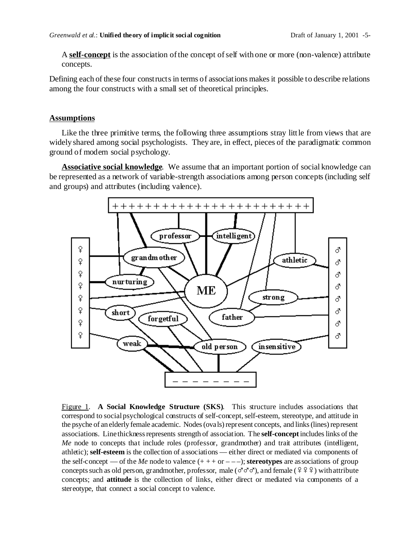A **self-concept** is the association of the concept of self with one or more (non-valence) attribute concepts.

Defining each of these four constructs in terms of associations makes it possible to describe relations among the four constructs with a small set of theoretical principles.

## **Assumptions**

Like the three primitive terms, the following three assumptions stray little from views that are widely shared among social psychologists. They are, in effect, pieces of the paradigmatic common ground of modern social psychology.

**Associative social knowledge**. We assume that an important portion of social knowledge can be represented as a network of variable-strength associations among person concepts (including self and groups) and attributes (including valence).



Figure 1. **A Social Knowledge Structure (SKS)**. This structure includes associations that correspond to social psychological constructs of self-concept, self-esteem, stereotype, and attitude in the psyche of an elderly female academic. Nodes (ovals) represent concepts, and links (lines) represent associations. Line thickness represents strength of association. The **self-concept** includes links of the *Me* node to concepts that include roles (professor, grandmother) and trait attributes (intelligent, athletic); **self-esteem** is the collection of associations — either direct or mediated via components of the self-concept — of the Me node to valence  $(+ + + or - -)$ ; **stereotypes** are associations of group concepts such as old person, grandmother, professor, male ( $\sigma \sigma \sigma$ ), and female ( $999$ ) with attribute concepts; and **attitude** is the collection of links, either direct or mediated via components of a stereotype, that connect a social concept to valence.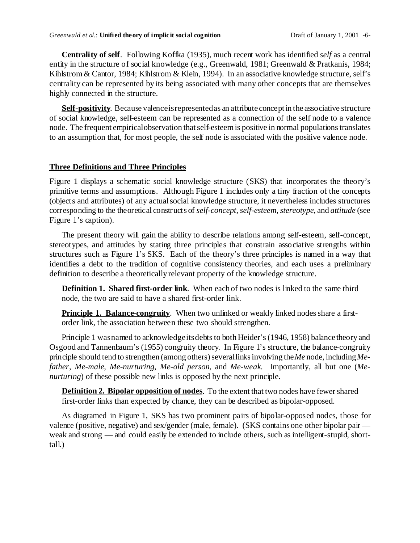**Centrality of self**. Following Koffka (1935), much recent work has identified *self* as a central entity in the structure of social knowledge (e.g., Greenwald, 1981; Greenwald & Pratkanis, 1984; Kihlstrom & Cantor, 1984; Kihlstrom & Klein, 1994). In an associative knowledge structure, self's centrality can be represented by its being associated with many other concepts that are themselves highly connected in the structure.

**Self-positivity**. Because valence is represented as an attribute concept in the associative structure of social knowledge, self-esteem can be represented as a connection of the self node to a valence node. The frequent empirical observation that self-esteem is positive in normal populations translates to an assumption that, for most people, the self node is associated with the positive valence node.

# **Three Definitions and Three Principles**

Figure 1 displays a schematic social knowledge structure (SKS) that incorporates the theory's primitive terms and assumptions. Although Figure 1 includes only a tiny fraction of the concepts (objects and attributes) of any actual social knowledge structure, it nevertheless includes structures corresponding to the theoretical constructs of *self-concept*, *self-esteem*, *stereotype*, and *attitude* (see Figure 1's caption).

The present theory will gain the ability to describe relations among self-esteem, self-concept, stereotypes, and attitudes by stating three principles that constrain associative strengths within structures such as Figure 1's SKS. Each of the theory's three principles is named in a way that identifies a debt to the tradition of cognitive consistency theories, and each uses a preliminary definition to describe a theoretically relevant property of the knowledge structure.

**Definition 1. Shared first-order link.** When each of two nodes is linked to the same third node, the two are said to have a shared first-order link.

**Principle 1. Balance-congruity**. When two unlinked or weakly linked nodes share a firstorder link, the association between these two should strengthen.

Principle 1 was named to acknowledge its debts to both Heider's (1946, 1958) balance theory and Osgood and Tannenbaum's (1955) congruity theory. In Figure 1's structure, the balance-congruity principle should tend to strengthen (among others) several links involving the *Me* node, including *Mefather*, *Me-male*, *Me-nurturing*, *Me-old person*, and *Me-weak*. Importantly, all but one (*Menurturing*) of these possible new links is opposed by the next principle.

**Definition 2. Bipolar opposition of nodes**. To the extent that two nodes have fewer shared first-order links than expected by chance, they can be described as bipolar-opposed.

As diagramed in Figure 1, SKS has two prominent pairs of bipolar-opposed nodes, those for valence (positive, negative) and sex/gender (male, female). (SKS contains one other bipolar pair weak and strong — and could easily be extended to include others, such as intelligent-stupid, shorttall.)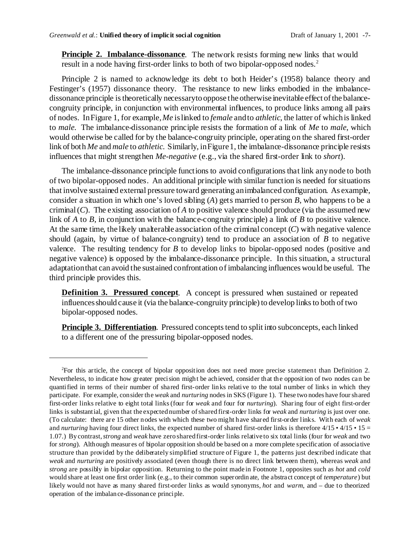**Principle 2. Imbalance-dissonance**. The network resists forming new links that would result in a node having first-order links to both of two bipolar-opposed nodes.<sup>2</sup>

Principle 2 is named to acknowledge its debt to both Heider's (1958) balance theory and Festinger's (1957) dissonance theory. The resistance to new links embodied in the imbalancedissonance principle is theoretically necessary to oppose the otherwise inevitable effect of the balancecongruity principle, in conjunction with environmental influences, to produce links among all pairs of nodes. In Figure 1, for example, *Me* is linked to *female* and to *athletic*, the latter of which is linked to *male*. The imbalance-dissonance principle resists the formation of a link of *Me* to *male*, which would otherwise be called for by the balance-congruity principle, operating on the shared first-order link of both *Me* and *male* to *athletic*. Similarly, in Figure 1, the imbalance-dissonance principle resists influences that might strengthen *Me-negative* (e.g., via the shared first-order link to *short*).

The imbalance-dissonance principle functions to avoid configurations that link any node to both of two bipolar-opposed nodes. An additional principle with similar function is needed for situations that involve sustained external pressure toward generating an imbalanced configuration. As example, consider a situation in which one's loved sibling (*A*) gets married to person *B*, who happens to be a criminal (*C*). The existing association of *A* to positive valence should produce (via the assumed new link of *A* to *B*, in conjunction with the balance-congruity principle) a link of *B* to positive valence. At the same time, the likely unalterable association of the criminal concept (*C*) with negative valence should (again, by virtue of balance-congruity) tend to produce an association of *B* to negative valence. The resulting tendency for *B* to develop links to bipolar-opposed nodes (positive and negative valence) is opposed by the imbalance-dissonance principle. In this situation, a structural adaptation that can avoid the sustained confrontation of imbalancing influences would be useful. The third principle provides this.

**Definition 3. Pressured concept**. A concept is pressured when sustained or repeated influences should cause it (via the balance-congruity principle) to develop links to both of two bipolar-opposed nodes.

**Principle 3. Differentiation.** Pressured concepts tend to split into subconcepts, each linked to a different one of the pressuring bipolar-opposed nodes.

<sup>2</sup>For this article, the concept of bipolar opposition does not need more precise statement than Definition 2. Nevertheless, to indicate how greater precision might be achieved, consider that the opposition of two nodes can be quantified in terms of their number of shared first-order lin ks relative to the total number of links in which they participate. For example, consider the *weak* and *nurturing* nodes in SKS (Figure 1). These two nodes have four shared first-order links relative to eight total links (four for *weak* and four for *nurturing*). Sharing four of eight first-order links is substantial, given that the expected number of shared first-order links for *weak* and *nurturing* is just over one. (To calculate: there ar e 15 other nodes with which these two might have shar ed first-order links. With each of *weak* and *nurturing* having four direct links, the expected number of shared first-order links is therefore  $4/15 \cdot 4/15 \cdot 15 =$ 1.07.) By contrast, *strong* and *weak* have zero shared first-order links relative to six total links (four for *weak* and two for *strong*). Although measur es of bipolar opposition should be based on a more complete specification of associative structure than provided by the deliberately simplified structure of Figure 1, the patterns just described indicate that *weak* and *nurturing* are positively associated (even though there is no direct link between them), whereas *weak* and *strong* are possibly in bipolar opposition. Returning to the point made in Footnote 1, opposites such as *hot* and *cold* would share at least one first order link (e.g., to their common superordin ate, the abstract concept of *temperature*) but likely would not have as many shared first-order links as would synonyms, *hot* and *warm*, and – due to theorized operation of the imbalan ce-dissonance principle.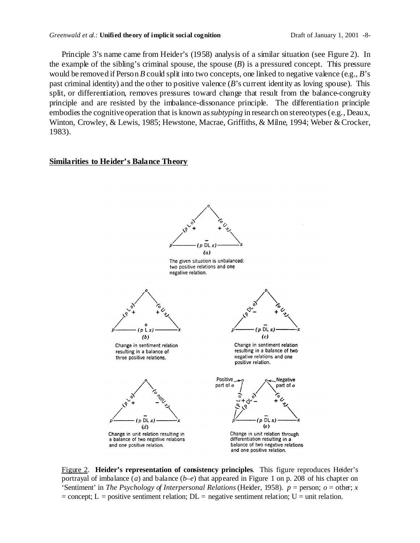Principle 3's name came from Heider's (1958) analysis of a similar situation (see Figure 2). In the example of the sibling's criminal spouse, the spouse  $(B)$  is a pressured concept. This pressure would be removed if Person *B* could split into two concepts, one linked to negative valence (e.g., *B*'s past criminal identity) and the other to positive valence (*B*'s current identity as loving spouse). This split, or differentiation, removes pressures toward change that result from the balance-congruity principle and are resisted by the imbalance-dissonance principle. The differentiation principle embodies the cognitive operation that is known as*subtyping* in research on stereotypes (e.g., Deaux, Winton, Crowley, & Lewis, 1985; Hewstone, Macrae, Griffiths, & Milne, 1994; Weber & Crocker, 1983).

## **Similarities to Heider's Balance Theory**



Figure 2. **Heider's representation of consistency principles**. This figure reproduces Heider's portrayal of imbalance (*a*) and balance (*b*–*e*) that appeared in Figure 1 on p. 208 of his chapter on 'Sentiment' in *The Psychology of Interpersonal Relations* (Heider, 1958). *p* = person; *o* = other; *x*  $=$  concept; L = positive sentiment relation; DL = negative sentiment relation; U = unit relation.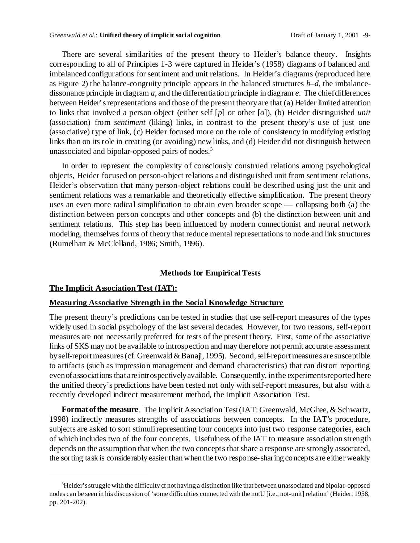There are several similarities of the present theory to Heider's balance theory. Insights corresponding to all of Principles 1-3 were captured in Heider's (1958) diagrams of balanced and imbalanced configurations for sentiment and unit relations. In Heider's diagrams (reproduced here as Figure 2) the balance-congruity principle appears in the balanced structures *b*–*d*, the imbalancedissonance principle in diagram *a*, and the differentiation principle in diagram *e*. The chief differences between Heider's representations and those of the present theory are that (a) Heider limited attention to links that involved a person object (either self [*p*] or other [*o*]), (b) Heider distinguished *unit* (association) from *sentiment* (liking) links, in contrast to the present theory's use of just one (associative) type of link, (c) Heider focused more on the role of consistency in modifying existing links than on its role in creating (or avoiding) new links, and (d) Heider did not distinguish between unassociated and bipolar-opposed pairs of nodes.<sup>3</sup>

In order to represent the complexity of consciously construed relations among psychological objects, Heider focused on person-object relations and distinguished unit from sentiment relations. Heider's observation that many person-object relations could be described using just the unit and sentiment relations was a remarkable and theoretically effective simplification. The present theory uses an even more radical simplification to obt ain even broader scope — collapsing both (a) the distinction between person concepts and other concepts and (b) the distinction between unit and sentiment relations. This step has been influenced by modern connectionist and neural network modeling, themselves forms of theory that reduce mental representations to node and link structures (Rumelhart & McClelland, 1986; Smith, 1996).

### **Methods for Empirical Tests**

## **The Implicit Association Test (IAT):**

#### **Measuring Associative Strength in the Social Knowledge Structure**

The present theory's predictions can be tested in studies that use self-report measures of the types widely used in social psychology of the last several decades. However, for two reasons, self-report measures are not necessarily preferred for tests of the present theory. First, some of the associative links of SKS may not be available to introspection and may therefore not permit accurate assessment by self-report measures (cf. Greenwald & Banaji, 1995). Second, self-report measures are susceptible to artifacts (such as impression management and demand characteristics) that can distort reporting even of associations that are introspectively available. Consequently, in the experiments reported here the unified theory's predictions have been tested not only with self-report measures, but also with a recently developed indirect measurement method, the Implicit Association Test.

**Format of the measure**. The Implicit Association Test (IAT: Greenwald, McGhee, & Schwartz, 1998) indirectly measures strengths of associations between concepts. In the IAT's procedure, subjects are asked to sort stimuli representing four concepts into just two response categories, each of which includes two of the four concepts. Usefulness of the IAT to measure association strength depends on the assumption that when the two concepts that share a response are strongly associated, the sorting task is considerably easier than when the two response-sharing concepts are either weakly

<sup>&</sup>lt;sup>3</sup>Heider's struggle with the difficulty of not having a distinction like that between unassociated and bipolar-opposed nodes can be seen in his discussion of 'some difficulties connected with the notU [i.e., not-unit] relation' (Heider, 1958, pp. 201-202).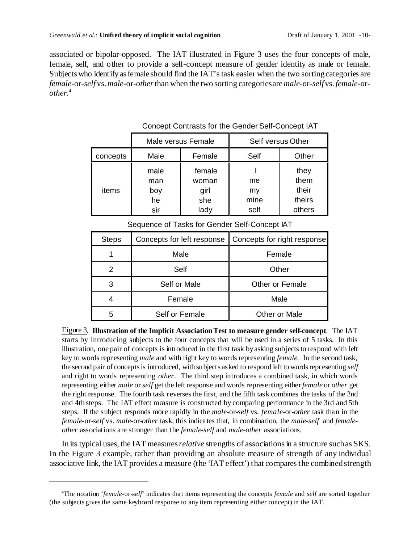associated or bipolar-opposed. The IAT illustrated in Figure 3 uses the four concepts of male, female, self, and other to provide a self-concept measure of gender identity as male or female. Subjects who identify as female should find the IAT's task easier when the two sorting categories are *female*-or-*self* vs. *male*-or-*other* than when the two sorting categories are *male*-or-*self* vs. *female*-or*other*. 4

|          | Male versus Female              |                                        | Self versus Other        |                                           |
|----------|---------------------------------|----------------------------------------|--------------------------|-------------------------------------------|
| concepts | Male                            | Female                                 | Self                     | Other                                     |
| items    | male<br>man<br>boy<br>he<br>sir | female<br>woman<br>girl<br>she<br>lady | me<br>my<br>mine<br>self | they<br>them<br>their<br>theirs<br>others |

Concept Contrasts for the Gender Self-Concept IAT

Sequence of Tasks for Gender Self-Concept IAT

| <b>Steps</b>   | Concepts for left response | Concepts for right response |  |
|----------------|----------------------------|-----------------------------|--|
| 1              | Male                       | Female                      |  |
| $\overline{2}$ | Self                       | Other                       |  |
| 3              | Self or Male               | Other or Female             |  |
| 4              | Female                     | Male                        |  |
| 5              | Self or Female             | Other or Male               |  |

Figure 3. **Illustration of the Implicit Association Test to measure gender self-concept**. The IAT starts by introducing subjects to the four concepts that will be used in a series of 5 tasks. In this illustration, one pair of concepts is introduced in the first task by asking subjects to respond with left key to words representing *male* and with right key to words representing *female*. In the second task, the second pair of concepts is introduced, with subjects asked to respond left to words representing *self* and right to words representing *other*. The third step introduces a combined task, in which words representing either *male* or *self* get the left response and words representing either *female* or *other* get the right response. The fourth task reverses the first, and the fifth task combines the tasks of the 2nd and 4th steps. The IAT effect measure is constructed by comparing performance in the 3rd and 5th steps. If the subject responds more rapidly in the *male*-or-*self* vs. *female*-or-*other* task than in the *female*-or-*self* vs. *male*-or-*other* task, this indicates that, in combination, the *male*-*self* and *femaleother* associations are stronger than the *female*-*self* and *male-other* associations.

In its typical uses, the IAT measures *relative* strengths of associations in a structure such as SKS. In the Figure 3 example, rather than providing an absolute measure of strength of any individual associative link, the IAT provides a measure (the 'IAT effect') that compares the combined strength

<sup>4</sup>The notation '*female*-or-*self*' indicates tha t items representing the concepts *female* and *self* are sorted together (the subjects gives the same keyboard response to any item representing either concept) in the IAT.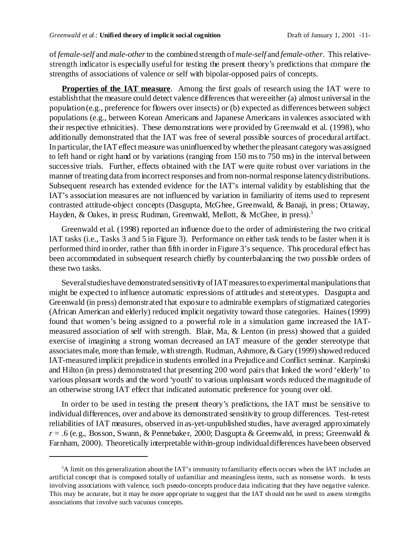of *female-self* and *male-other* to the combined strength of *male-self* and *female-other*. This relativestrength indicator is especially useful for testing the present theory's predictions that compare the strengths of associations of valence or self with bipolar-opposed pairs of concepts.

**Properties of the IAT measure.** Among the first goals of research using the IAT were to establish that the measure could detect valence differences that were either (a) almost universal in the population (e.g., preference for flowers over insects) or (b) expected as differences between subject populations (e.g., between Korean Americans and Japanese Americans in valences associated with their respective ethnicities). These demonstrations were provided by Greenwald et al. (1998), who additionally demonstrated that the IAT was free of several possible sources of procedural artifact. In particular, the IAT effect measure was uninfluenced by whether the pleasant category was assigned to left hand or right hand or by variations (ranging from 150 ms to 750 ms) in the interval between successive trials. Further, effects obtained with the IAT were quite robust over variations in the manner of treating data from incorrect responses and from non-normal response latency distributions. Subsequent research has extended evidence for the IAT's internal validity by establishing that the IAT's association measures are not influenced by variation in familiarity of items used to represent contrasted attitude-object concepts (Dasgupta, McGhee, Greenwald, & Banaji, in press; Ottaway, Hayden, & Oakes, in press; Rudman, Greenwald, Mellott, & McGhee, in press).<sup>5</sup>

Greenwald et al. (1998) reported an influence due to the order of administering the two critical IAT tasks (i.e., Tasks 3 and 5 in Figure 3). Performance on either task tends to be faster when it is performed third in order, rather than fifth in order in Figure 3's sequence. This procedural effect has been accommodated in subsequent research chiefly by counterbalancing the two possible orders of these two tasks.

Several studies have demonstrated sensitivity of IAT measures to experimental manipulations that might be expected to influence automatic expressions of attitudes and stereotypes. Dasgupta and Greenwald (in press) demonstrated that exposure to admirable exemplars of stigmatized categories (African American and elderly) reduced implicit negativity toward those categories. Haines (1999) found that women's being assigned to a powerful role in a simulation game increased the IATmeasured association of self with strength. Blair, Ma, & Lenton (in press) showed that a guided exercise of imagining a strong woman decreased an IAT measure of the gender stereotype that associates male, more than female, with strength. Rudman, Ashmore, & Gary (1999) showed reduced IAT-measured implicit prejudice in students enrolled in a Prejudice and Conflict seminar. Karpinski and Hilton (in press) demonstrated that presenting 200 word pairs that linked the word 'elderly' to various pleasant words and the word 'youth' to various unpleasant words reduced the magnitude of an otherwise strong IAT effect that indicated automatic preference for young over old.

In order to be used in testing the present theory's predictions, the IAT must be sensitive to individual differences, over and above its demonstrated sensitivity to group differences. Test-retest reliabilities of IAT measures, observed in as-yet-unpublished studies, have averaged approximately *r* = .6 (e.g., Bosson, Swann, & Pennebaker, 2000; Dasgupta & Greenwald, in press; Greenwald & Farnham, 2000). Theoretically interpretable within-group individual differences have been observed

<sup>&</sup>lt;sup>5</sup>A limit on this generalization about the IAT's immunity to familiarity effects occurs when the IAT includes an artificial concept that is composed totally of unfamiliar and meaningless items, such as nonsense words. In tests involving associations with valence, such pseudo-concepts produce data indicating that they have negative valence. This may be accurate, but it may be more appropriate to suggest that the IAT should not be used to assess strengths associations that involve such vacuous concepts.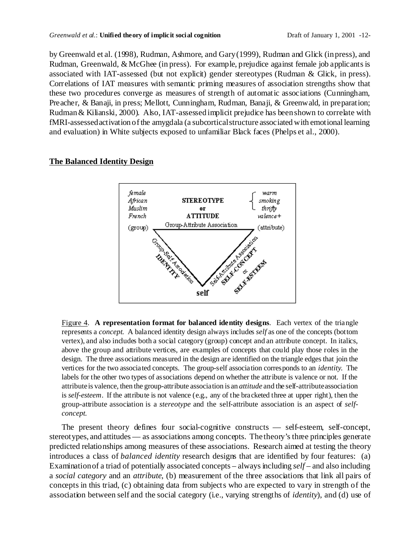by Greenwald et al. (1998), Rudman, Ashmore, and Gary (1999), Rudman and Glick (in press), and Rudman, Greenwald, & McGhee (in press). For example, prejudice against female job applicants is associated with IAT-assessed (but not explicit) gender stereotypes (Rudman & Glick, in press). Correlations of IAT measures with semantic priming measures of association strengths show that these two procedures converge as measures of strength of automatic associations (Cunningham, Preacher, & Banaji, in press; Mellott, Cunningham, Rudman, Banaji, & Greenwald, in preparation; Rudman & Kilianski, 2000). Also, IAT-assessed implicit prejudice has been shown to correlate with fMRI-assessed activation of the amygdala (a subcortical structure associated with emotional learning and evaluation) in White subjects exposed to unfamiliar Black faces (Phelps et al., 2000).

## **The Balanced Identity Design**



Figure 4. **A representation format for balanced identity designs**. Each vertex of the triangle represents a *concept*. A balanced identity design always includes *self* as one of the concepts (bottom vertex), and also includes both a social category (group) concept and an attribute concept. In italics, above the group and attribute vertices, are examples of concepts that could play those roles in the design. The three associations measured in the design are identified on the triangle edges that join the vertices for the two associated concepts. The group-self association corresponds to an *identity*. The labels for the other two types of associations depend on whether the attribute is valence or not. If the attribute is valence, then the group-attribute association is an *attitude* and the self-attribute association is *self-esteem*. If the attribute is not valence (e.g., any of the bracketed three at upper right), then the group-attribute association is a *stereotype* and the self-attribute association is an aspect of *selfconcept*.

The present theory defines four social-cognitive constructs — self-esteem, self-concept, stereotypes, and attitudes — as associations among concepts. The theory's three principles generate predicted relationships among measures of these associations. Research aimed at testing the theory introduces a class of *balanced identity* research designs that are identified by four features: (a) Examination of a triad of potentially associated concepts – always including *self* – and also including a *social category* and an *attribute*, (b) measurement of the three associations that link all pairs of concepts in this triad, (c) obtaining data from subjects who are expected to vary in strength of the association between self and the social category (i.e., varying strengths of *identity*), and (d) use of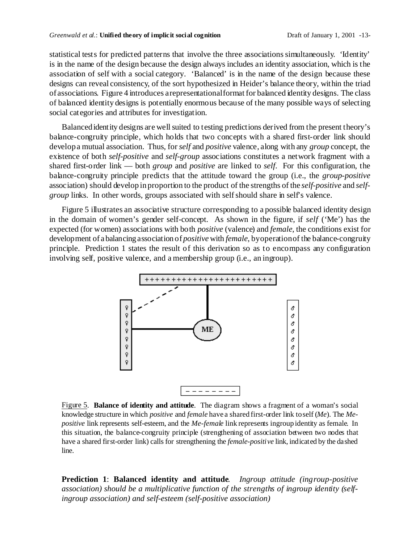statistical tests for predicted patterns that involve the three associations simultaneously. 'Identity' is in the name of the design because the design always includes an identity association, which is the association of self with a social category. 'Balanced' is in the name of the design because these designs can reveal consistency, of the sort hypothesized in Heider's balance theory, within the triad of associations. Figure 4 introduces a representational format for balanced identity designs. The class of balanced identity designs is potentially enormous because of the many possible ways of selecting social categories and attributes for investigation.

Balanced identity designs are well suited to testing predictions derived from the present theory's balance-congruity principle, which holds that two concepts with a shared first-order link should develop a mutual association. Thus, for *self* and *positive* valence, along with any *group* concept, the existence of both *self-positive* and *self*-*group* associations constitutes a network fragment with a shared first-order link — both *group* and *positive* are linked to *self*. For this configuration, the balance-congruity principle predicts that the attitude toward the group (i.e., the *group*-*positive* association) should develop in proportion to the product of the strengths of the *self*-*positive* and *selfgroup* links. In other words, groups associated with self should share in self's valence.

Figure 5 illustrates an associative structure corresponding to a possible balanced identity design in the domain of women's gender self-concept. As shown in the figure, if *self* ('Me') has the expected (for women) associations with both *positive* (valence) and *female*, the conditions exist for development of a balancing association of *positive* with *female*, by operation of the balance-congruity principle. Prediction 1 states the result of this derivation so as to encompass any configuration involving self, positive valence, and a membership group (i.e., an ingroup).



Figure 5. **Balance of identity and attitude**. The diagram shows a fragment of a woman's social knowledge structure in which *positive* and *female* have a shared first-order link to self (*Me*). The *Mepositive* link represents self-esteem, and the *Me-female* link represents ingroup identity as female. In this situation, the balance-congruity principle (strengthening of association between two nodes that have a shared first-order link) calls for strengthening the *female-positive* link, indicated by the dashed line.

**Prediction 1**: **Balanced identity and attitude**. *Ingroup attitude (ingroup-positive association) should be a multiplicative function of the strengths of ingroup identity (selfingroup association) and self-esteem (self-positive association)*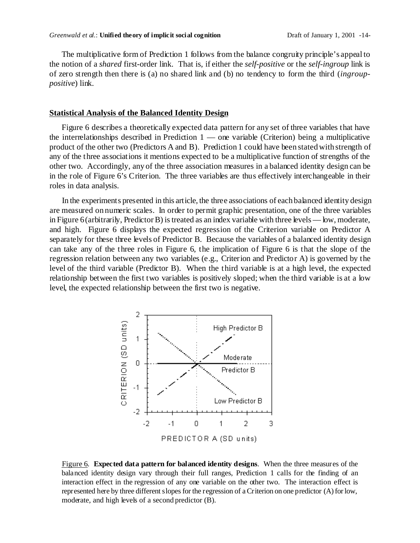The multiplicative form of Prediction 1 follows from the balance congruity principle's appeal to the notion of a *shared* first-order link. That is, if either the *self*-*positive* or the *self*-*ingroup* link is of zero strength then there is (a) no shared link and (b) no tendency to form the third (*ingrouppositive*) link.

## **Statistical Analysis of the Balanced Identity Design**

Figure 6 describes a theoretically expected data pattern for any set of three variables that have the interrelationships described in Prediction  $1$  — one variable (Criterion) being a multiplicative product of the other two (Predictors A and B). Prediction 1 could have been stated with strength of any of the three associations it mentions expected to be a multiplicative function of strengths of the other two. Accordingly, any of the three association measures in a balanced identity design can be in the role of Figure 6's Criterion. The three variables are thus effectively interchangeable in their roles in data analysis.

In the experiments presented in this article, the three associations of each balanced identity design are measured on numeric scales. In order to permit graphic presentation, one of the three variables in Figure 6 (arbitrarily, Predictor B) is treated as an index variable with three levels — low, moderate, and high. Figure 6 displays the expected regression of the Criterion variable on Predictor A separately for these three levels of Predictor B. Because the variables of a balanced identity design can take any of the three roles in Figure 6, the implication of Figure 6 is that the slope of the regression relation between any two variables (e.g., Criterion and Predictor A) is governed by the level of the third variable (Predictor B). When the third variable is at a high level, the expected relationship between the first two variables is positively sloped; when the third variable is at a low level, the expected relationship between the first two is negative.



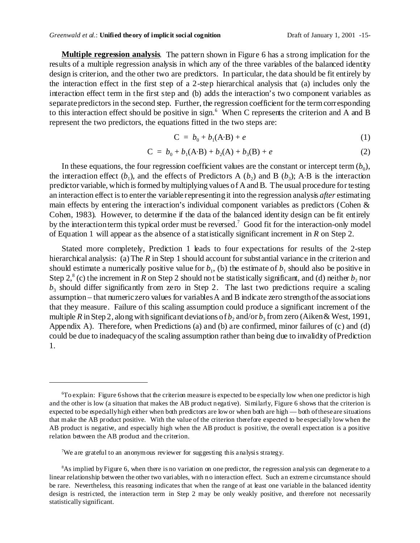**Multiple regression analysis**. The pattern shown in Figure 6 has a strong implication for the results of a multiple regression analysis in which any of the three variables of the balanced identity design is criterion, and the other two are predictors. In particular, the data should be fit entirely by the interaction effect in the first step of a 2-step hierarchical analysis that (a) includes only the interaction effect term in the first step and (b) adds the interaction's two component variables as separate predictors in the second step. Further, the regression coefficient for the term corresponding to this interaction effect should be positive in sign.<sup>6</sup> When C represents the criterion and A and B represent the two predictors, the equations fitted in the two steps are:

$$
C = b_0 + b_1(A \cdot B) + e \tag{1}
$$

$$
C = b_0 + b_1(A \cdot B) + b_2(A) + b_3(B) + e
$$
 (2)

In these equations, the four regression coefficient values are the constant or intercept term  $(b_0)$ , the interaction effect  $(b_1)$ , and the effects of Predictors A  $(b_2)$  and B  $(b_3)$ ; A $\cdot$ B is the interaction predictor variable, which is formed by multiplying values of A and B. The usual procedure for testing an interaction effect is to enter the variable representing it into the regression analysis *after* estimating main effects by entering the interaction's individual component variables as predictors (Cohen & Cohen, 1983). However, to determine if the data of the balanced identity design can be fit entirely by the interaction term this typical order must be reversed.<sup>7</sup> Good fit for the interaction-only model of Equation 1 will appear as the absence of a statistically significant increment in *R* on Step 2.

Stated more completely, Prediction 1 leads to four expectations for results of the 2-step hierarchical analysis: (a) The *R* in Step 1 should account for substantial variance in the criterion and should estimate a numerically positive value for  $b_1$ , (b) the estimate of  $b_1$  should also be positive in Step 2,<sup>8</sup> (c) the increment in *R* on Step 2 should not be statistically significant, and (d) neither  $b_2$  nor  $b_3$  should differ significantly from zero in Step 2. The last two predictions require a scaling assumption – that numeric zero values for variables A and B indicate zero strength of the associations that they measure. Failure of this scaling assumption could produce a significant increment of the multiple *R* in Step 2, along with significant deviations of  $b_2$  and/or  $b_3$  from zero (Aiken & West, 1991, Appendix A). Therefore, when Predictions (a) and (b) are confirmed, minor failures of (c) and (d) could be due to inadequacy of the scaling assumption rather than being due to invalidity of Prediction 1.

 $6T$ o explain: Figure 6 shows that the criterion measure is expected to be especially low when one predictor is high and the other is low (a situation that makes the AB product negative). Similarly, Figure 6 shows that the criterion is expected to be especially high either when both predictors are low or when both are high — both of these are situations that make the AB product positive. With the value of the criterion therefore expected to be especially low when the AB product is negative, and especially high when the AB product is positive, the overall expectation is a positive relation between the AB product and the criterion.

<sup>&</sup>lt;sup>7</sup>We are grateful to an anonymous reviewer for suggesting this analysis strategy.

<sup>8</sup>As implied by Figure 6, when there is no variation on one predictor, the regression analysis can degenerate to a linear relationship between the other two variables, with no interaction effect. Such an extreme circumstance should be rare. Nevertheless, this reasoning indicates that when the range of at least one variable in the balanced identity design is restricted, the interaction term in Step 2 may be only weakly positive, and therefore not necessarily statistically significant.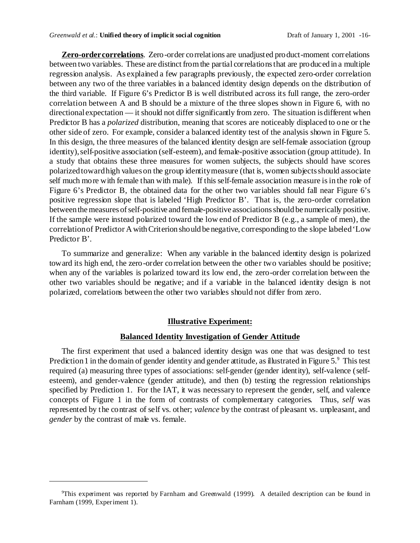**Zero-order correlations**. Zero-order correlations are unadjusted product-moment correlations between two variables. These are distinct from the partial correlations that are produced in a multiple regression analysis. As explained a few paragraphs previously, the expected zero-order correlation between any two of the three variables in a balanced identity design depends on the distribution of the third variable. If Figure 6's Predictor B is well distributed across its full range, the zero-order correlation between A and B should be a mixture of the three slopes shown in Figure 6, with no directional expectation — it should not differ significantly from zero. The situation is different when Predictor B has a *polarized* distribution, meaning that scores are noticeably displaced to one or the other side of zero. For example, consider a balanced identity test of the analysis shown in Figure 5. In this design, the three measures of the balanced identity design are self-female association (group identity), self-positive association (self-esteem), and female-positive association (group attitude). In a study that obtains these three measures for women subjects, the subjects should have scores polarized toward high values on the group identity measure (that is, women subjects should associate self much more with female than with male). If this self-female association measure is in the role of Figure 6's Predictor B, the obtained data for the other two variables should fall near Figure 6's positive regression slope that is labeled 'High Predictor B'. That is, the zero-order correlation between the measures of self-positive and female-positive associations should be numerically positive. If the sample were instead polarized toward the low end of Predictor B (e.g., a sample of men), the correlation of Predictor A with Criterion should be negative, corresponding to the slope labeled 'Low Predictor B'.

To summarize and generalize: When any variable in the balanced identity design is polarized toward its high end, the zero-order correlation between the other two variables should be positive; when any of the variables is polarized toward its low end, the zero-order correlation between the other two variables should be negative; and if a variable in the balanced identity design is not polarized, correlations between the other two variables should not differ from zero.

## **Illustrative Experiment:**

#### **Balanced Identity Investigation of Gender Attitude**

The first experiment that used a balanced identity design was one that was designed to test Prediction 1 in the domain of gender identity and gender attitude, as illustrated in Figure 5.<sup>9</sup> This test required (a) measuring three types of associations: self-gender (gender identity), self-valence (selfesteem), and gender-valence (gender attitude), and then (b) testing the regression relationships specified by Prediction 1. For the IAT, it was necessary to represent the gender, self, and valence concepts of Figure 1 in the form of contrasts of complementary categories. Thus, *self* was represented by the contrast of self vs. other; *valence* by the contrast of pleasant vs. unpleasant, and *gender* by the contrast of male vs. female.

<sup>&</sup>lt;sup>9</sup>This experiment was reported by Farnham and Greenwald (1999). A detailed description can be found in Farnham (1999, Experiment 1).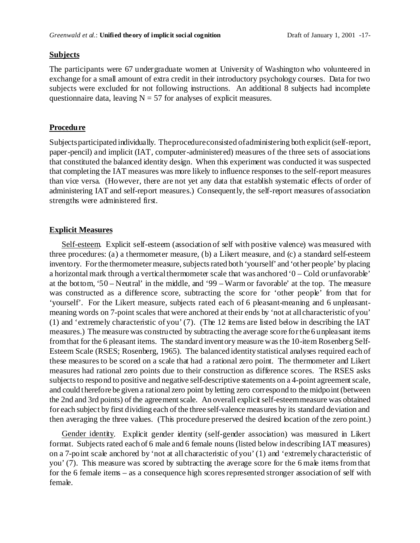## **Subjects**

The participants were 67 undergraduate women at University of Washington who volunteered in exchange for a small amount of extra credit in their introductory psychology courses. Data for two subjects were excluded for not following instructions. An additional 8 subjects had incomplete questionnaire data, leaving  $N = 57$  for analyses of explicit measures.

## **Procedure**

Subjects participated individually. The procedure consisted of administering both explicit (self-report, paper-pencil) and implicit (IAT, computer-administered) measures of the three sets of associations that constituted the balanced identity design. When this experiment was conducted it was suspected that completing the IAT measures was more likely to influence responses to the self-report measures than vice versa. (However, there are not yet any data that establish systematic effects of order of administering IAT and self-report measures.) Consequently, the self-report measures of association strengths were administered first.

# **Explicit Measures**

Self-esteem. Explicit self-esteem (association of self with positive valence) was measured with three procedures: (a) a thermometer measure, (b) a Likert measure, and (c) a standard self-esteem inventory. For the thermometer measure, subjects rated both 'yourself' and 'other people' by placing a horizontal mark through a vertical thermometer scale that was anchored  $0 -$ Cold or unfavorable' at the bottom, '50 – Neutral' in the middle, and '99 – Warm or favorable' at the top. The measure was constructed as a difference score, subtracting the score for 'other people' from that for 'yourself'. For the Likert measure, subjects rated each of 6 pleasant-meaning and 6 unpleasantmeaning words on 7-point scales that were anchored at their ends by 'not at all characteristic of you' (1) and 'extremely characteristic of you' (7). (The 12 items are listed below in describing the IAT measures.) The measure was constructed by subtracting the average score for the 6 unpleasant items from that for the 6 pleasant items. The standard inventory measure was the 10-item Rosenberg Self-Esteem Scale (RSES; Rosenberg, 1965). The balanced identity statistical analyses required each of these measures to be scored on a scale that had a rational zero point. The thermometer and Likert measures had rational zero points due to their construction as difference scores. The RSES asks subjects to respond to positive and negative self-descriptive statements on a 4-point agreement scale, and could therefore be given a rational zero point by letting zero correspond to the midpoint (between the 2nd and 3rd points) of the agreement scale. An overall explicit self-esteem measure was obtained for each subject by first dividing each of the three self-valence measures by its standard deviation and then averaging the three values. (This procedure preserved the desired location of the zero point.)

Gender identity. Explicit gender identity (self-gender association) was measured in Likert format. Subjects rated each of 6 male and 6 female nouns (listed below in describing IAT measures) on a 7-point scale anchored by 'not at all characteristic of you' (1) and 'extremely characteristic of you' (7). This measure was scored by subtracting the average score for the 6 male items from that for the 6 female items – as a consequence high scores represented stronger association of self with female.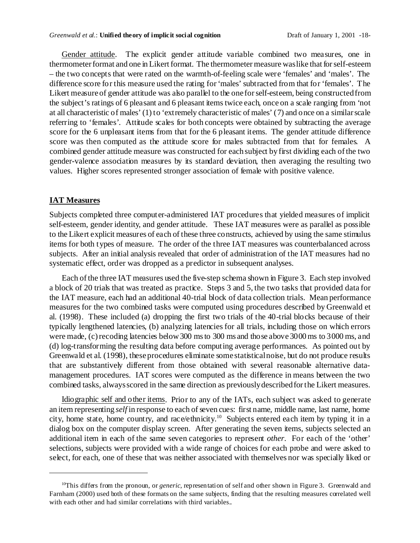Gender attitude. The explicit gender attitude variable combined two measures, one in thermometer format and one in Likert format. The thermometer measure was like that for self-esteem – the two concepts that were rated on the warmth-of-feeling scale were 'females' and 'males'. The difference score for this measure used the rating for 'males' subtracted from that for 'females'. The Likert measure of gender attitude was also parallel to the one for self-esteem, being constructed from the subject's ratings of 6 pleasant and 6 pleasant items twice each, once on a scale ranging from 'not at all characteristic of males' (1) to 'extremely characteristic of males' (7) and once on a similar scale referring to 'females'. Attitude scales for both concepts were obtained by subtracting the average score for the 6 unpleasant items from that for the 6 pleasant items. The gender attitude difference score was then computed as the attitude score for males subtracted from that for females. A combined gender attitude measure was constructed for each subject by first dividing each of the two gender-valence association measures by its standard deviation, then averaging the resulting two values. Higher scores represented stronger association of female with positive valence.

## **IAT Measures**

Subjects completed three computer-administered IAT procedures that yielded measures of implicit self-esteem, gender identity, and gender attitude. These IAT measures were as parallel as possible to the Likert explicit measures of each of these three constructs, achieved by using the same stimulus items for both types of measure. The order of the three IAT measures was counterbalanced across subjects. After an initial analysis revealed that order of administration of the IAT measures had no systematic effect, order was dropped as a predictor in subsequent analyses.

Each of the three IAT measures used the five-step schema shown in Figure 3. Each step involved a block of 20 trials that was treated as practice. Steps 3 and 5, the two tasks that provided data for the IAT measure, each had an additional 40-trial block of data collection trials. Mean performance measures for the two combined tasks were computed using procedures described by Greenwald et al. (1998). These included (a) dropping the first two trials of the 40-trial blocks because of their typically lengthened latencies, (b) analyzing latencies for all trials, including those on which errors were made, (c) recoding latencies below 300 ms to 300 ms and those above 3000 ms to 3000 ms, and (d) log-transforming the resulting data before computing average performances. As pointed out by Greenwald et al. (1998), these procedures eliminate some statistical noise, but do not produce results that are substantively different from those obtained with several reasonable alternative datamanagement procedures. IAT scores were computed as the difference in means between the two combined tasks, always scored in the same direction as previously described for the Likert measures.

Idiographic self and other items. Prior to any of the IATs, each subject was asked to generate an item representing *self* in response to each of seven cues: first name, middle name, last name, home city, home state, home country, and race/ethnicity.<sup>10</sup> Subjects entered each item by typing it in a dialog box on the computer display screen. After generating the seven items, subjects selected an additional item in each of the same seven categories to represent *other*. For each of the 'other' selections, subjects were provided with a wide range of choices for each probe and were asked to select, for each, one of these that was neither associated with themselves nor was specially liked or

<sup>&</sup>lt;sup>10</sup>This differs from the pronoun, or *generic*, representation of self and other shown in Figure 3. Greenwald and Farnham (2000) used both of these formats on the same subjects, finding that the resulting measures correlated well with each other and had similar correlations with third variables..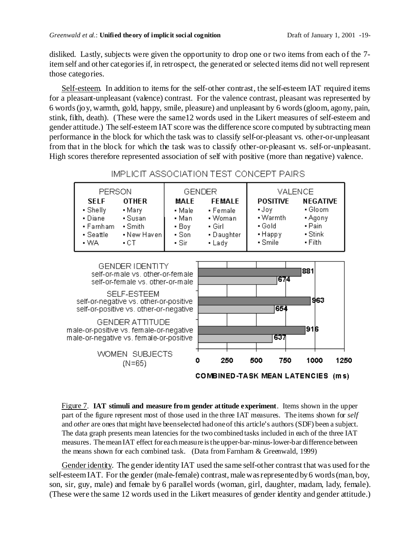disliked. Lastly, subjects were given the opportunity to drop one or two items from each of the 7 item self and other categories if, in retrospect, the generated or selected items did not well represent those categories.

Self-esteem. In addition to items for the self-other contrast, the self-esteem IAT required items for a pleasant-unpleasant (valence) contrast. For the valence contrast, pleasant was represented by 6 words (joy, warmth, gold, happy, smile, pleasure) and unpleasant by 6 words (gloom, agony, pain, stink, filth, death). (These were the same12 words used in the Likert measures of self-esteem and gender attitude.) The self-esteem IAT score was the difference score computed by subtracting mean performance in the block for which the task was to classify self-or-pleasant vs. other-or-unpleasant from that in the block for which the task was to classify other-or-pleasant vs. self-or-unpleasant. High scores therefore represented association of self with positive (more than negative) valence.

IMPLICIT ASSOCIATION TEST CONCEPT PAIRS



Figure 7. **IAT stimuli and measure from gender attitude experiment**. Items shown in the upper part of the figure represent most of those used in the three IAT measures. The items shown for *self* and *other* are ones that might have been selected had one of this article's authors (SDF) been a subject. The data graph presents mean latencies for the two combined tasks included in each of the three IAT measures. The mean IAT effect for each measure is the upper-bar-minus-lower-bar difference between the means shown for each combined task. (Data from Farnham & Greenwald, 1999)

Gender identity. The gender identity IAT used the same self-other contrast that was used for the self-esteem IAT. For the gender (male-female) contrast, male was represented by 6 words (man, boy, son, sir, guy, male) and female by 6 parallel words (woman, girl, daughter, madam, lady, female). (These were the same 12 words used in the Likert measures of gender identity and gender attitude.)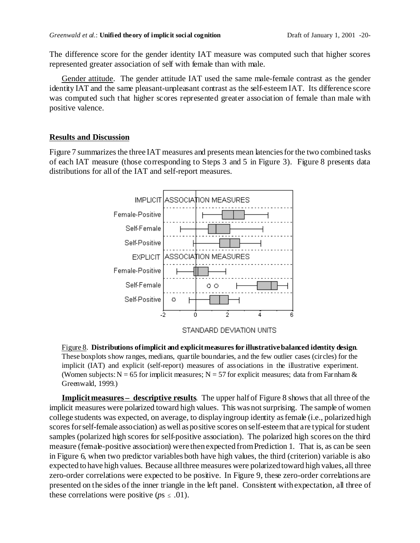The difference score for the gender identity IAT measure was computed such that higher scores represented greater association of self with female than with male.

Gender attitude. The gender attitude IAT used the same male-female contrast as the gender identity IAT and the same pleasant-unpleasant contrast as the self-esteem IAT. Its difference score was computed such that higher scores represented greater association of female than male with positive valence.

## **Results and Discussion**

Figure 7 summarizes the three IAT measures and presents mean latencies for the two combined tasks of each IAT measure (those corresponding to Steps 3 and 5 in Figure 3). Figure 8 presents data distributions for all of the IAT and self-report measures.



Figure 8. **Distributions of implicit and explicit measures for illustrative balanced identity design**. These boxplots show ranges, medians, quartile boundaries, and the few outlier cases (circles) for the implicit (IAT) and explicit (self-report) measures of associations in the illustrative experiment. (Women subjects:  $N = 65$  for implicit measures;  $N = 57$  for explicit measures; data from Farnham & Greenwald, 1999.)

**Implicit measures – descriptive results**. The upper half of Figure 8 shows that all three of the implicit measures were polarized toward high values. This was not surprising. The sample of women college students was expected, on average, to display ingroup identity as female (i.e., polarized high scores for self-female association) as well as positive scores on self-esteem that are typical for student samples (polarized high scores for self-positive association). The polarized high scores on the third measure (female-positive association) were then expected from Prediction 1. That is, as can be seen in Figure 6, when two predictor variables both have high values, the third (criterion) variable is also expected to have high values. Because all three measures were polarized toward high values, all three zero-order correlations were expected to be positive. In Figure 9, these zero-order correlations are presented on the sides of the inner triangle in the left panel. Consistent with expectation, all three of these correlations were positive ( $ps \le .01$ ).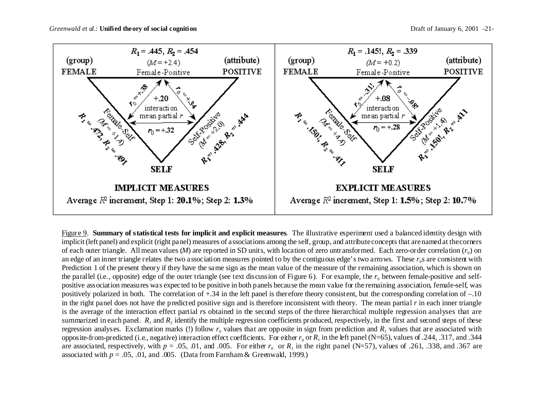

Figure 9. **Summary of statistical tests for implicit and explicit measures**. The illustrative experiment used a balanced identity design with implicit (left panel) and explicit (right panel) measures of associations among the self, group, and attribute concepts that are named at the corners of each outer triangle. All mean values  $(M)$  are reported in SD units, with location of zero untransformed. Each zero-order correlation  $(r_0)$  on an edge of an inner triangle relates the two association measures pointed to by the contiguous edge's two arrows. These  $r_0$ s are consistent with Prediction 1 of the present theory if they have the same sign as the mean value of the measure of the remaining association, which is shown on the parallel (i.e., opposite) edge of the outer triangle (see text discussion of Figure 6). For example, the  $r_0$  between female-positive and selfpositive association measures was expected to be positive in both panels because the mean value for the remaining association, female-self, was positively polarized in both. The correlation of +.34 in the left panel is therefore theory consistent, but the corresponding correlation of –.10 in the right panel does not have the predicted positive sign and is therefore inconsistent with theory. The mean partial *r* in each inner triangle is the average of the interaction effect partial *r*s obtained in the second steps of the three hierarchical multiple regression analyses that are summarized in each panel.  $R_1$  and  $R_2$  identify the multiple regression coefficients produced, respectively, in the first and second steps of these regression analyses. Exclamation marks (!) follow  $r_0$  values that are opposite in sign from prediction and  $R_1$  values that are associated with opposite-from-predicted (i.e., negative) interaction effect coefficients. For either  $r_0$  or  $R_1$  in the left panel (N=65), values of .244, .317, and .344 are associated, respectively, with  $p = .05, .01,$  and  $.005$ . For either  $r_0$  or  $R_1$  in the right panel (N=57), values of .261, .338, and .367 are associated with  $p = .05, .01,$  and  $.005.$  (Data from Farnham & Greenwald, 1999.)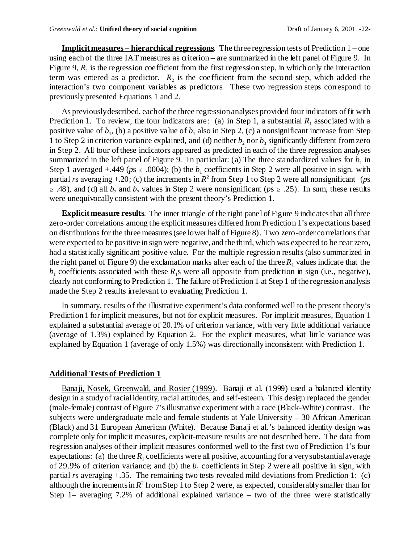**Implicit measures – hierarchical regressions**. The three regression tests of Prediction 1 – one using each of the three IAT measures as criterion – are summarized in the left panel of Figure 9. In Figure 9,  $R_1$  is the regression coefficient from the first regression step, in which only the interaction term was entered as a predictor.  $R_2$  is the coefficient from the second step, which added the interaction's two component variables as predictors. These two regression steps correspond to previously presented Equations 1 and 2.

As previously described, each of the three regression analyses provided four indicators of fit with Prediction 1. To review, the four indicators are: (a) in Step 1, a substantial  $R_1$  associated with a positive value of  $b_1$ , (b) a positive value of  $b_1$  also in Step 2, (c) a nonsignificant increase from Step 1 to Step 2 in criterion variance explained, and (d) neither  $b_2$  nor  $b_3$  significantly different from zero in Step 2. All four of these indicators appeared as predicted in each of the three regression analyses summarized in the left panel of Figure 9. In particular: (a) The three standardized values for  $b_1$  in Step 1 averaged  $+.449$  ( $ps \le .0004$ ); (b) the  $b<sub>1</sub>$  coefficients in Step 2 were all positive in sign, with partial *r*s averaging  $+.20$ ; (c) the increments in  $R^2$  from Step 1 to Step 2 were all nonsignificant (*ps*  $\ge$  .48), and (d) all  $b_2$  and  $b_3$  values in Step 2 were nonsignificant ( $p_s \ge$  .25). In sum, these results were unequivocally consistent with the present theory's Prediction 1.

**Explicit measure results**. The inner triangle of the right panel of Figure 9 indicates that all three zero-order correlations among the explicit measures differed from Prediction 1's expectations based on distributions for the three measures (see lower half of Figure 8). Two zero-order correlations that were expected to be positive in sign were negative, and the third, which was expected to be near zero, had a statistically significant positive value. For the multiple regression results (also summarized in the right panel of Figure 9) the exclamation marks after each of the three  $R_1$  values indicate that the  $b_1$  coefficients associated with these  $R_1$ s were all opposite from prediction in sign (i.e., negative), clearly not conforming to Prediction 1. The failure of Prediction 1 at Step 1 of the regression analysis made the Step 2 results irrelevant to evaluating Prediction 1.

In summary, results of the illustrative experiment's data conformed well to the present theory's Prediction 1 for implicit measures, but not for explicit measures. For implicit measures, Equation 1 explained a substantial average of 20.1% of criterion variance, with very little additional variance (average of 1.3%) explained by Equation 2. For the explicit measures, what little variance was explained by Equation 1 (average of only 1.5%) was directionally inconsistent with Prediction 1.

## **Additional Tests of Prediction 1**

Banaji, Nosek, Greenwald, and Rosier (1999). Banaji et al. (1999) used a balanced identity design in a study of racial identity, racial attitudes, and self-esteem. This design replaced the gender (male-female) contrast of Figure 7's illustrative experiment with a race (Black-White) contrast. The subjects were undergraduate male and female students at Yale University – 30 African American (Black) and 31 European American (White). Because Banaji et al.'s balanced identity design was complete only for implicit measures, explicit-measure results are not described here. The data from regression analyses of their implicit measures conformed well to the first two of Prediction 1's four expectations: (a) the three  $R_1$  coefficients were all positive, accounting for a very substantial average of 29.9% of criterion variance; and (b) the  $b<sub>1</sub>$  coefficients in Step 2 were all positive in sign, with partial *r*s averaging +.35. The remaining two tests revealed mild deviations from Prediction 1: (c) although the increments in  $R^2$  from Step 1 to Step 2 were, as expected, considerably smaller than for Step 1– averaging 7.2% of additional explained variance – two of the three were statistically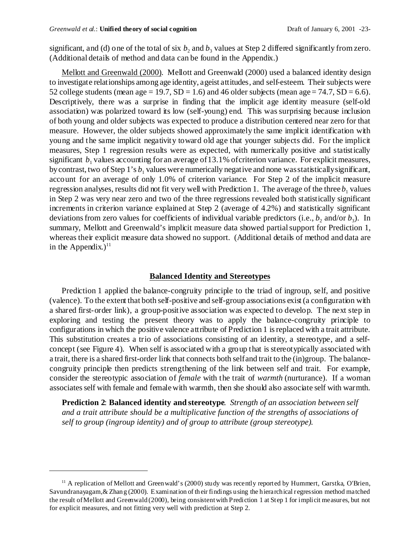significant, and (d) one of the total of six  $b_2$  and  $b_3$  values at Step 2 differed significantly from zero. (Additional details of method and data can be found in the Appendix.)

Mellott and Greenwald (2000). Mellott and Greenwald (2000) used a balanced identity design to investigate relationships among age identity, ageist attitudes, and self-esteem. Their subjects were 52 college students (mean age = 19.7,  $SD = 1.6$ ) and 46 older subjects (mean age = 74.7,  $SD = 6.6$ ). Descriptively, there was a surprise in finding that the implicit age identity measure (self-old association) was polarized toward its low (self-young) end. This was surprising because inclusion of both young and older subjects was expected to produce a distribution centered near zero for that measure. However, the older subjects showed approximately the same implicit identification with young and the same implicit negativity toward old age that younger subjects did. For the implicit measures, Step 1 regression results were as expected, with numerically positive and statistically significant  $b_1$  values accounting for an average of 13.1% of criterion variance. For explicit measures, by contrast, two of Step  $1$ 's  $b_1$  values were numerically negative and none was statistically significant, account for an average of only 1.0% of criterion variance. For Step 2 of the implicit measure regression analyses, results did not fit very well with Prediction 1. The average of the three  $b_1$  values in Step 2 was very near zero and two of the three regressions revealed both statistically significant increments in criterion variance explained at Step 2 (average of 4.2%) and statistically significant deviations from zero values for coefficients of individual variable predictors (i.e.,  $b_2$  and/or  $b_3$ ). In summary, Mellott and Greenwald's implicit measure data showed partial support for Prediction 1, whereas their explicit measure data showed no support. (Additional details of method and data are in the Appendix.) $11$ 

#### **Balanced Identity and Stereotypes**

Prediction 1 applied the balance-congruity principle to the triad of ingroup, self, and positive (valence). To the extent that both self-positive and self-group associations exist (a configuration with a shared first-order link), a group-positive association was expected to develop. The next step in exploring and testing the present theory was to apply the balance-congruity principle to configurations in which the positive valence attribute of Prediction 1 is replaced with a trait attribute. This substitution creates a trio of associations consisting of an identity, a stereotype, and a selfconcept (see Figure 4). When self is associated with a group that is stereotypically associated with a trait, there is a shared first-order link that connects both self and trait to the (in)group. The balancecongruity principle then predicts strengthening of the link between self and trait. For example, consider the stereotypic association of *female* with the trait of *warmth* (nurturance). If a woman associates self with female and female with warmth, then she should also associate self with warmth.

**Prediction 2**: **Balanced identity and stereotype**. *Strength of an association between self and a trait attribute should be a multiplicative function of the strengths of associations of self to group (ingroup identity) and of group to attribute (group stereotype)*.

<sup>&</sup>lt;sup>11</sup> A replication of Mellott and Green wald's (2000) study was recently reported by Hummert, Garstka, O'Brien, Savundranayagam,& Zhang (2000). Examination of th eir findings using the hierarchical r egression method matched the result of Mellott and Greenwald (2000), being consistent with Prediction 1 at Step 1 for implicit measures, but not for explicit measures, and not fitting very well with prediction at Step 2.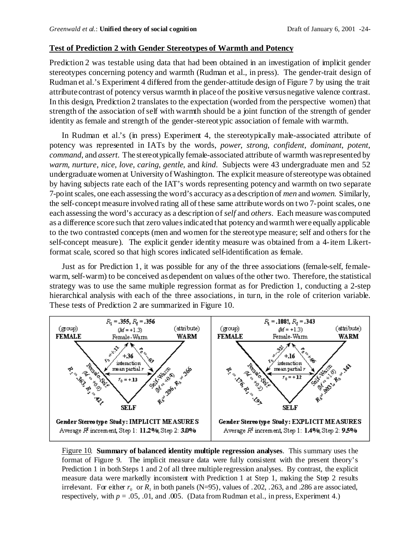## **Test of Prediction 2 with Gender Stereotypes of Warmth and Potency**

Prediction 2 was testable using data that had been obtained in an investigation of implicit gender stereotypes concerning potency and warmth (Rudman et al., in press). The gender-trait design of Rudman et al.'s Experiment 4 differed from the gender-attitude design of Figure 7 by using the trait attribute contrast of potency versus warmth in place of the positive versus negative valence contrast. In this design, Prediction 2 translates to the expectation (worded from the perspective women) that strength of the association of self with warmth should be a joint function of the strength of gender identity as female and strength of the gender-stereotypic association of female with warmth.

In Rudman et al.'s (in press) Experiment 4, the stereotypically male-associated attribute of potency was represented in IATs by the words, *power*, *strong*, *confident*, *dominant*, *potent*, *command*, and *assert*. The stereotypically female-associated attribute of warmth was represented by *warm*, *nurture*, *nice*, *love*, *caring*, *gentle*, and *kind*. Subjects were 43 undergraduate men and 52 undergraduate women at University of Washington. The explicit measure of stereotype was obtained by having subjects rate each of the IAT's words representing potency and warmth on two separate 7-point scales, one each assessing the word's accuracy as a description of *men* and *women*. Similarly, the self-concept measure involved rating all of these same attribute words on two 7-point scales, one each assessing the word's accuracy as a description of *self* and *others*. Each measure was computed as a difference score such that zero values indicated that potency and warmth were equally applicable to the two contrasted concepts (men and women for the stereotype measure; self and others for the self-concept measure). The explicit gender identity measure was obtained from a 4-item Likertformat scale, scored so that high scores indicated self-identification as female.

Just as for Prediction 1, it was possible for any of the three associations (female-self, femalewarm, self-warm) to be conceived as dependent on values of the other two. Therefore, the statistical strategy was to use the same multiple regression format as for Prediction 1, conducting a 2-step hierarchical analysis with each of the three associations, in turn, in the role of criterion variable. These tests of Prediction 2 are summarized in Figure 10.



Figure 10. **Summary of balanced identity multiple regression analyses**. This summary uses the format of Figure 9. The implicit measure data were fully consistent with the present theory's Prediction 1 in both Steps 1 and 2 of all three multiple regression analyses. By contrast, the explicit measure data were markedly inconsistent with Prediction 1 at Step 1, making the Step 2 results irrelevant. For either  $r_0$  or  $R_1$  in both panels (N=95), values of .202, .263, and .286 are associated, respectively, with *p* = .05, .01, and .005. (Data from Rudman et al., in press, Experiment 4.)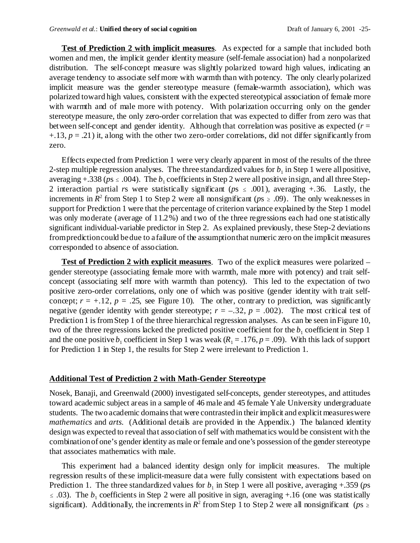**Test of Prediction 2 with implicit measures**. As expected for a sample that included both women and men, the implicit gender identity measure (self-female association) had a nonpolarized distribution. The self-concept measure was slightly polarized toward high values, indicating an average tendency to associate self more with warmth than with potency. The only clearly polarized implicit measure was the gender stereotype measure (female-warmth association), which was polarized toward high values, consistent with the expected stereotypical association of female more with warmth and of male more with potency. With polarization occurring only on the gender stereotype measure, the only zero-order correlation that was expected to differ from zero was that between self-concept and gender identity. Although that correlation was positive as expected  $(r =$  $+13$ ,  $p = 0.21$ ) it, along with the other two zero-order correlations, did not differ significantly from zero.

Effects expected from Prediction 1 were very clearly apparent in most of the results of the three 2-step multiple regression analyses. The three standardized values for  $b_1$  in Step 1 were all positive, averaging  $+0.338$  ( $ps \le 0.004$ ). The  $b_1$  coefficients in Step 2 were all positive in sign, and all three Step-2 interaction partial *rs* were statistically significant ( $ps \le .001$ ), averaging +.36. Lastly, the increments in  $R^2$  from Step 1 to Step 2 were all nonsignificant ( $ps \ge .09$ ). The only weaknesses in support for Prediction 1 were that the percentage of criterion variance explained by the Step 1 model was only moderate (average of 11.2%) and two of the three regressions each had one statistically significant individual-variable predictor in Step 2. As explained previously, these Step-2 deviations from prediction could be due to a failure of the assumption that numeric zero on the implicit measures corresponded to absence of association.

**Test of Prediction 2 with explicit measures**. Two of the explicit measures were polarized – gender stereotype (associating female more with warmth, male more with potency) and trait selfconcept (associating self more with warmth than potency). This led to the expectation of two positive zero-order correlations, only one of which was positive (gender identity with trait selfconcept;  $r = +.12$ ,  $p = .25$ , see Figure 10). The other, contrary to prediction, was significantly negative (gender identity with gender stereotype;  $r = -.32$ ,  $p = .002$ ). The most critical test of Prediction 1 is from Step 1 of the three hierarchical regression analyses. As can be seen in Figure 10, two of the three regressions lacked the predicted positive coefficient for the  $b<sub>1</sub>$  coefficient in Step 1 and the one positive  $b_1$  coefficient in Step 1 was weak ( $R_1 = .176$ ,  $p = .09$ ). With this lack of support for Prediction 1 in Step 1, the results for Step 2 were irrelevant to Prediction 1.

### **Additional Test of Prediction 2 with Math-Gender Stereotype**

Nosek, Banaji, and Greenwald (2000) investigated self-concepts, gender stereotypes, and attitudes toward academic subject areas in a sample of 46 male and 45 female Yale University undergraduate students. The two academic domains that were contrasted in their implicit and explicit measures were *mathematics* and *arts.* (Additional details are provided in the Appendix.) The balanced identity design was expected to reveal that association of self with mathematics would be consistent with the combination of one's gender identity as male or female and one's possession of the gender stereotype that associates mathematics with male.

This experiment had a balanced identity design only for implicit measures. The multiple regression results of these implicit-measure data were fully consistent with expectations based on Prediction 1. The three standardized values for  $b_1$  in Step 1 were all positive, averaging  $+.359$  (*ps*  $\leq$  .03). The  $b_1$  coefficients in Step 2 were all positive in sign, averaging +.16 (one was statistically significant). Additionally, the increments in  $R^2$  from Step 1 to Step 2 were all nonsignificant ( $p_s \ge$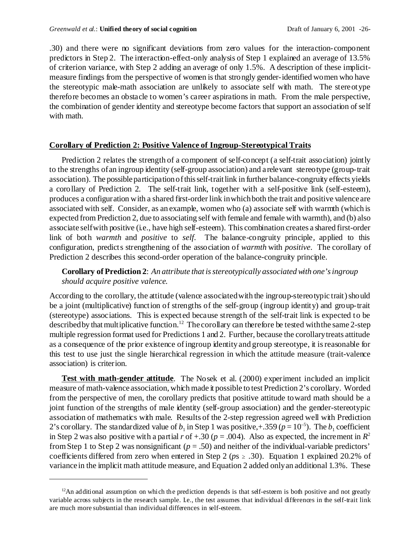.30) and there were no significant deviations from zero values for the interaction-component predictors in Step 2. The interaction-effect-only analysis of Step 1 explained an average of 13.5% of criterion variance, with Step 2 adding an average of only 1.5%. A description of these implicitmeasure findings from the perspective of women is that strongly gender-identified women who have the stereotypic male-math association are unlikely to associate self with math. The stereotype therefore becomes an obstacle to women's career aspirations in math. From the male perspective, the combination of gender identity and stereotype become factors that support an association of self with math.

## **Corollary of Prediction 2: Positive Valence of Ingroup-Stereotypical Traits**

Prediction 2 relates the strength of a component of self-concept (a self-trait association) jointly to the strengths of an ingroup identity (self-group association) and a relevant stereotype (group-trait association). The possible participation of this self-trait link in further balance-congruity effects yields a corollary of Prediction 2. The self-trait link, together with a self-positive link (self-esteem), produces a configuration with a shared first-order link in which both the trait and positive valence are associated with self. Consider, as an example, women who (a) associate self with warmth (which is expected from Prediction 2, due to associating self with female and female with warmth), and (b) also associate self with positive (i.e., have high self-esteem). This combination creates a shared first-order link of both *warmth* and *positive* to *self*. The balance-congruity principle, applied to this configuration, predicts strengthening of the association of *warmth* with *positive*. The corollary of Prediction 2 describes this second-order operation of the balance-congruity principle.

**Corollary of Prediction 2**: *An attribute that is stereotypically associated with one's ingroup should acquire positive valence*.

According to the corollary, the attitude (valence associated with the ingroup-stereotypic trait) should be a joint (multiplicative) function of strengths of the self-group (ingroup identity) and group-trait (stereotype) associations. This is expected because strength of the self-trait link is expected to be described by that multiplicative function.<sup>12</sup> The corollary can therefore be tested with the same 2-step multiple regression format used for Predictions 1 and 2. Further, because the corollary treats attitude as a consequence of the prior existence of ingroup identity and group stereotype, it is reasonable for this test to use just the single hierarchical regression in which the attitude measure (trait-valence association) is criterion.

**Test with math-gender attitude**. The Nosek et al. (2000) experiment included an implicit measure of math-valence association, which made it possible to test Prediction 2's corollary. Worded from the perspective of men, the corollary predicts that positive attitude toward math should be a joint function of the strengths of male identity (self-group association) and the gender-stereotypic association of mathematics with male. Results of the 2-step regression agreed well with Prediction 2's corollary. The standardized value of  $b_1$  in Step 1 was positive, + .359 ( $p = 10^{-5}$ ). The  $b_1$  coefficient in Step 2 was also positive with a partial *r* of +.30 ( $p = .004$ ). Also as expected, the increment in  $R^2$ from Step 1 to Step 2 was nonsignificant ( $p = .50$ ) and neither of the individual-variable predictors' coefficients differed from zero when entered in Step 2 ( $p_s \ge .30$ ). Equation 1 explained 20.2% of variance in the implicit math attitude measure, and Equation 2 added only an additional 1.3%. These

 $12$ An additional assumption on which the prediction depends is that self-esteem is both positive and not greatly variable across subjects in the research sample. I.e., the test assumes that individual differences in the self-trait link are much more substantial than individual differences in self-esteem.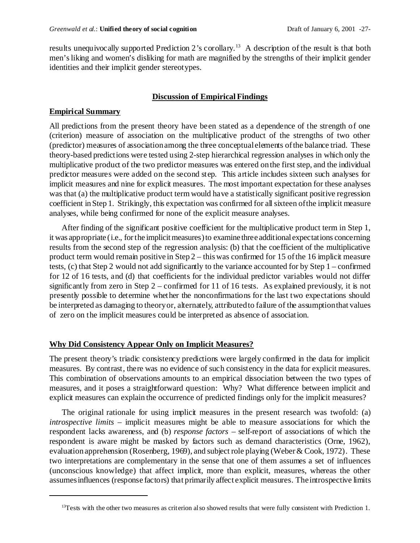results unequivocally supported Prediction 2's corollary.<sup>13</sup> A description of the result is that both men's liking and women's disliking for math are magnified by the strengths of their implicit gender identities and their implicit gender stereotypes.

## **Discussion of Empirical Findings**

## **Empirical Summary**

All predictions from the present theory have been stated as a dependence of the strength of one (criterion) measure of association on the multiplicative product of the strengths of two other (predictor) measures of association among the three conceptual elements of the balance triad. These theory-based predictions were tested using 2-step hierarchical regression analyses in which only the multiplicative product of the two predictor measures was entered on the first step, and the individual predictor measures were added on the second step. This article includes sixteen such analyses for implicit measures and nine for explicit measures. The most important expectation for these analyses was that (a) the multiplicative product term would have a statistically significant positive regression coefficient in Step 1. Strikingly, this expectation was confirmed for all sixteen of the implicit measure analyses, while being confirmed for none of the explicit measure analyses.

After finding of the significant positive coefficient for the multiplicative product term in Step 1, it was appropriate (i.e., for the implicit measures) to examine three additional expectations concerning results from the second step of the regression analysis: (b) that the coefficient of the multiplicative product term would remain positive in Step 2 – this was confirmed for 15 of the 16 implicit measure tests, (c) that Step 2 would not add significantly to the variance accounted for by Step  $\overline{1}$  – confirmed for 12 of 16 tests, and (d) that coefficients for the individual predictor variables would not differ significantly from zero in Step 2 – confirmed for 11 of 16 tests. As explained previously, it is not presently possible to determine whether the nonconfirmations for the last two expectations should be interpreted as damaging to theory or, alternately, attributed to failure of the assumption that values of zero on the implicit measures could be interpreted as absence of association.

### **Why Did Consistency Appear Only on Implicit Measures?**

The present theory's triadic consistency predictions were largely confirmed in the data for implicit measures. By contrast, there was no evidence of such consistency in the data for explicit measures. This combination of observations amounts to an empirical dissociation between the two types of measures, and it poses a straightforward question: Why? What difference between implicit and explicit measures can explain the occurrence of predicted findings only for the implicit measures?

The original rationale for using implicit measures in the present research was twofold: (a) *introspective limits* – implicit measures might be able to measure associations for which the respondent lacks awareness, and (b) *response factors* – self-report of associations of which the respondent is aware might be masked by factors such as demand characteristics (Orne, 1962), evaluation apprehension (Rosenberg, 1969), and subject role playing (Weber & Cook, 1972). These two interpretations are complementary in the sense that one of them assumes a set of influences (unconscious knowledge) that affect implicit, more than explicit, measures, whereas the other assumes influences (response factors) that primarily affect explicit measures. The introspective limits

<sup>&</sup>lt;sup>13</sup>Tests with the other two measures as criterion also showed results that were fully consistent with Prediction 1.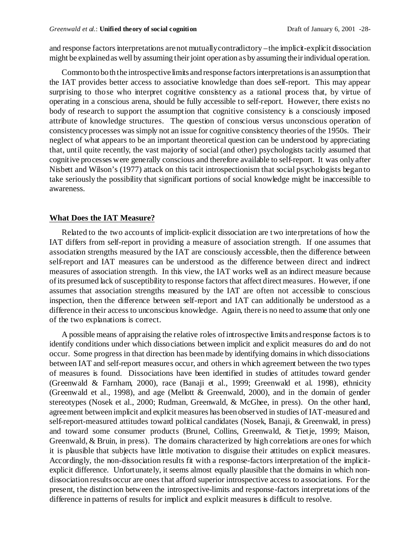and response factors interpretations are not mutually contradictory – the implicit-explicit dissociation might be explained as well by assuming their joint operation as by assuming their individual operation.

Common to both the introspective limits and response factors interpretations is an assumption that the IAT provides better access to associative knowledge than does self-report. This may appear surprising to those who interpret cognitive consistency as a rational process that, by virtue of operating in a conscious arena, should be fully accessible to self-report. However, there exists no body of research to support the assumption that cognitive consistency is a consciously imposed attribute of knowledge structures. The question of conscious versus unconscious operation of consistency processes was simply not an issue for cognitive consistency theories of the 1950s. Their neglect of what appears to be an important theoretical question can be understood by appreciating that, until quite recently, the vast majority of social (and other) psychologists tacitly assumed that cognitive processes were generally conscious and therefore available to self-report. It was only after Nisbett and Wilson's (1977) attack on this tacit introspectionism that social psychologists began to take seriously the possibility that significant portions of social knowledge might be inaccessible to awareness.

## **What Does the IAT Measure?**

Related to the two accounts of implicit-explicit dissociation are two interpretations of how the IAT differs from self-report in providing a measure of association strength. If one assumes that association strengths measured by the IAT are consciously accessible, then the difference between self-report and IAT measures can be understood as the difference between direct and indirect measures of association strength. In this view, the IAT works well as an indirect measure because of its presumed lack of susceptibility to response factors that affect direct measures. However, if one assumes that association strengths measured by the IAT are often not accessible to conscious inspection, then the difference between self-report and IAT can additionally be understood as a difference in their access to unconscious knowledge. Again, there is no need to assume that only one of the two explanations is correct.

A possible means of appraising the relative roles of introspective limits and response factors is to identify conditions under which dissociations between implicit and explicit measures do and do not occur. Some progress in that direction has been made by identifying domains in which dissociations between IAT and self-report measures occur, and others in which agreement between the two types of measures is found. Dissociations have been identified in studies of attitudes toward gender (Greenwald & Farnham, 2000), race (Banaji et al., 1999; Greenwald et al. 1998), ethnicity (Greenwald et al., 1998), and age (Mellott & Greenwald, 2000), and in the domain of gender stereotypes (Nosek et al., 2000; Rudman, Greenwald, & McGhee, in press). On the other hand, agreement between implicit and explicit measures has been observed in studies of IAT-measured and self-report-measured attitudes toward political candidates (Nosek, Banaji, & Greenwald, in press) and toward some consumer products (Brunel, Collins, Greenwald, & Tietje, 1999; Maison, Greenwald, & Bruin, in press). The domains characterized by high correlations are ones for which it is plausible that subjects have little motivation to disguise their attitudes on explicit measures. Accordingly, the non-dissociation results fit with a response-factors interpretation of the implicitexplicit difference. Unfortunately, it seems almost equally plausible that the domains in which nondissociation results occur are ones that afford superior introspective access to associations. For the present, the distinction between the introspective-limits and response-factors interpretations of the difference in patterns of results for implicit and explicit measures is difficult to resolve.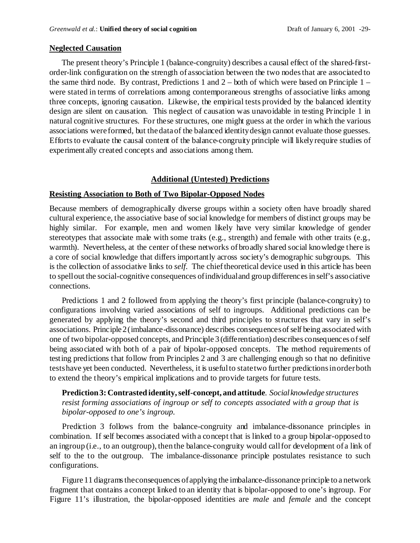## **Neglected Causation**

The present theory's Principle 1 (balance-congruity) describes a causal effect of the shared-firstorder-link configuration on the strength of association between the two nodes that are associated to the same third node. By contrast, Predictions 1 and  $2 -$  both of which were based on Principle  $1$ were stated in terms of correlations among contemporaneous strengths of associative links among three concepts, ignoring causation. Likewise, the empirical tests provided by the balanced identity design are silent on causation. This neglect of causation was unavoidable in testing Principle 1 in natural cognitive structures. For these structures, one might guess at the order in which the various associations were formed, but the data of the balanced identity design cannot evaluate those guesses. Efforts to evaluate the causal content of the balance-congruity principle will likely require studies of experimentally created concepts and associations among them.

# **Additional (Untested) Predictions**

## **Resisting Association to Both of Two Bipolar-Opposed Nodes**

Because members of demographically diverse groups within a society often have broadly shared cultural experience, the associative base of social knowledge for members of distinct groups may be highly similar. For example, men and women likely have very similar knowledge of gender stereotypes that associate male with some traits (e.g., strength) and female with other traits (e.g., warmth). Nevertheless, at the center of these networks of broadly shared social knowledge there is a core of social knowledge that differs importantly across society's demographic subgroups. This is the collection of associative links to *self*. The chief theoretical device used in this article has been to spell out the social-cognitive consequences of individual and group differences in self's associative connections.

Predictions 1 and 2 followed from applying the theory's first principle (balance-congruity) to configurations involving varied associations of self to ingroups. Additional predictions can be generated by applying the theory's second and third principles to structures that vary in self's associations. Principle 2 (imbalance-dissonance) describes consequences of self being associated with one of two bipolar-opposed concepts, and Principle 3 (differentiation) describes consequences of self being associated with both of a pair of bipolar-opposed concepts. The method requirements of testing predictions that follow from Principles 2 and 3 are challenging enough so that no definitive tests have yet been conducted. Nevertheless, it is useful to state two further predictions in order both to extend the theory's empirical implications and to provide targets for future tests.

**Prediction 3: Contrasted identity, self-concept, and attitude**. *Social knowledge structures resist forming associations of ingroup or self to concepts associated with a group that is bipolar-opposed to one's ingroup*.

Prediction 3 follows from the balance-congruity and imbalance-dissonance principles in combination. If self becomes associated with a concept that is linked to a group bipolar-opposed to an ingroup (i.e., to an outgroup), then the balance-congruity would call for development of a link of self to the to the outgroup. The imbalance-dissonance principle postulates resistance to such configurations.

Figure 11 diagrams the consequences of applying the imbalance-dissonance principle to a network fragment that contains a concept linked to an identity that is bipolar-opposed to one's ingroup. For Figure 11's illustration, the bipolar-opposed identities are *male* and *female* and the concept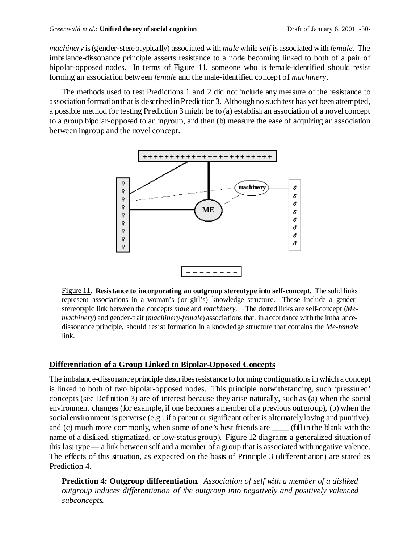*machinery* is (gender-stereotypically) associated with *male* while *self* is associated with *female*. The imbalance-dissonance principle asserts resistance to a node becoming linked to both of a pair of bipolar-opposed nodes. In terms of Figure 11, someone who is female-identified should resist forming an association between *female* and the male-identified concept of *machinery*.

The methods used to test Predictions 1 and 2 did not include any measure of the resistance to association formation that is described in Prediction 3. Although no such test has yet been attempted, a possible method for testing Prediction 3 might be to (a) establish an association of a novel concept to a group bipolar-opposed to an ingroup, and then (b) measure the ease of acquiring an association between ingroup and the novel concept.



Figure 11. **Resistance to incorporating an outgroup stereotype into self-concept**. The solid links represent associations in a woman's (or girl's) knowledge structure. These include a genderstereotypic link between the concepts *male* and *machinery*. The dotted links are self-concept (*Memachinery*) and gender-trait (*machinery*-*female*) associations that, in accordance with the imbalancedissonance principle, should resist formation in a knowledge structure that contains the *Me-female* link.

# **Differentiation of a Group Linked to Bipolar-Opposed Concepts**

The imbalance-dissonance principle describes resistance to forming configurations in which a concept is linked to both of two bipolar-opposed nodes. This principle notwithstanding, such 'pressured' concepts (see Definition 3) are of interest because they arise naturally, such as (a) when the social environment changes (for example, if one becomes a member of a previous outgroup), (b) when the social environment is perverse (e.g., if a parent or significant other is alternately loving and punitive), and (c) much more commonly, when some of one's best friends are \_\_\_\_ (fill in the blank with the name of a disliked, stigmatized, or low-status group). Figure 12 diagrams a generalized situation of this last type — a link between self and a member of a group that is associated with negative valence. The effects of this situation, as expected on the basis of Principle 3 (differentiation) are stated as Prediction 4.

**Prediction 4: Outgroup differentiation**. *Association of self with a member of a disliked outgroup induces differentiation of the outgroup into negatively and positively valenced subconcepts*.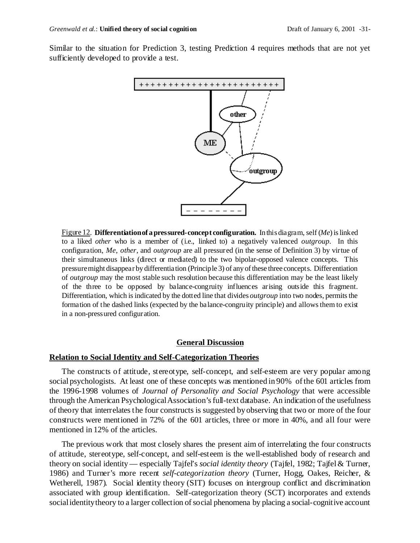Similar to the situation for Prediction 3, testing Prediction 4 requires methods that are not yet sufficiently developed to provide a test.



Figure 12. **Differentiation of a pressured-concept configuration.** In this diagram, self (*Me*) is linked to a liked *other* who is a member of (i.e., linked to) a negatively valenced *outgroup*. In this configuration, *Me*, *other*, and *outgroup* are all pressured (in the sense of Definition 3) by virtue of their simultaneous links (direct or mediated) to the two bipolar-opposed valence concepts. This pressure might disappear by differentiation (Principle 3) of any of these three concepts. Differentiation of *outgroup* may the most stable such resolution because this differentiation may be the least likely of the three to be opposed by balance-congruity influences arising outside this fragment. Differentiation, which is indicated by the dotted line that divides *outgroup* into two nodes, permits the formation of the dashed links (expected by the balance-congruity principle) and allows them to exist in a non-pressured configuration.

#### **General Discussion**

#### **Relation to Social Identity and Self-Categorization Theories**

The constructs of attitude, stereotype, self-concept, and self-esteem are very popular among social psychologists. At least one of these concepts was mentioned in 90% of the 601 articles from the 1996-1998 volumes of *Journal of Personality and Social Psychology* that were accessible through the American Psychological Association's full-text database. An indication of the usefulness of theory that interrelates the four constructs is suggested by observing that two or more of the four constructs were mentioned in 72% of the 601 articles, three or more in 40%, and all four were mentioned in 12% of the articles.

The previous work that most closely shares the present aim of interrelating the four constructs of attitude, stereotype, self-concept, and self-esteem is the well-established body of research and theory on social identity — especially Tajfel's *social identity theory* (Tajfel, 1982; Tajfel & Turner, 1986) and Turner's more recent *self-categorization theory* (Turner, Hogg, Oakes, Reicher, & Wetherell, 1987). Social identity theory (SIT) focuses on intergroup conflict and discrimination associated with group identification. Self-categorization theory (SCT) incorporates and extends social identity theory to a larger collection of social phenomena by placing a social-cognitive account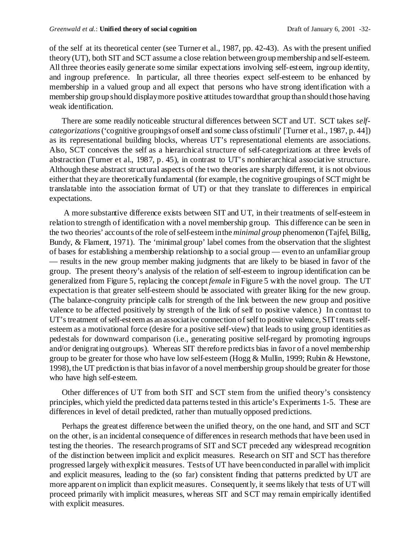of the self at its theoretical center (see Turner et al., 1987, pp. 42-43). As with the present unified theory (UT), both SIT and SCT assume a close relation between group membership and self-esteem. All three theories easily generate some similar expectations involving self-esteem, ingroup identity, and ingroup preference. In particular, all three theories expect self-esteem to be enhanced by membership in a valued group and all expect that persons who have strong identification with a membership group should display more positive attitudes toward that group than should those having weak identification.

There are some readily noticeable structural differences between SCT and UT. SCT takes *selfcategorizations* ('cognitive groupings of onself and some class of stimuli' [Turner et al., 1987, p. 44]) as its representational building blocks, whereas UT's representational elements are associations. Also, SCT conceives the self as a hierarchical structure of self-categorizations at three levels of abstraction (Turner et al., 1987, p. 45), in contrast to UT's nonhierarchical associative structure. Although these abstract structural aspects of the two theories are sharply different, it is not obvious either that they are theoretically fundamental (for example, the cognitive groupings of SCT might be translatable into the association format of UT) or that they translate to differences in empirical expectations.

 A more substantive difference exists between SIT and UT, in their treatments of self-esteem in relation to strength of identification with a novel membership group. This difference can be seen in the two theories' accounts of the role of self-esteem in the *minimal group* phenomenon (Tajfel, Billig, Bundy, & Flament, 1971). The 'minimal group' label comes from the observation that the slightest of bases for establishing a membership relationship to a social group — even to an unfamiliar group — results in the new group member making judgments that are likely to be biased in favor of the group. The present theory's analysis of the relation of self-esteem to ingroup identification can be generalized from Figure 5, replacing the concept *female* in Figure 5 with the novel group. The UT expectation is that greater self-esteem should be associated with greater liking for the new group. (The balance-congruity principle calls for strength of the link between the new group and positive valence to be affected positively by strength of the link of self to positive valence.) In contrast to UT's treatment of self-esteem as an associative connection of self to positive valence, SIT treats selfesteem as a motivational force (desire for a positive self-view) that leads to using group identities as pedestals for downward comparison (i.e., generating positive self-regard by promoting ingroups and/or denigrating outgroups). Whereas SIT therefore predicts bias in favor of a novel membership group to be greater for those who have low self-esteem (Hogg & Mullin, 1999; Rubin & Hewstone, 1998), the UT prediction is that bias in favor of a novel membership group should be greater for those who have high self-esteem.

Other differences of UT from both SIT and SCT stem from the unified theory's consistency principles, which yield the predicted data patterns tested in this article's Experiments 1-5. These are differences in level of detail predicted, rather than mutually opposed predictions.

Perhaps the greatest difference between the unified theory, on the one hand, and SIT and SCT on the other, is an incidental consequence of differences in research methods that have been used in testing the theories. The research programs of SIT and SCT preceded any widespread recognition of the distinction between implicit and explicit measures. Research on SIT and SCT has therefore progressed largely with explicit measures. Tests of UT have been conducted in parallel with implicit and explicit measures, leading to the (so far) consistent finding that patterns predicted by UT are more apparent on implicit than explicit measures. Consequently, it seems likely that tests of UT will proceed primarily with implicit measures, whereas SIT and SCT may remain empirically identified with explicit measures.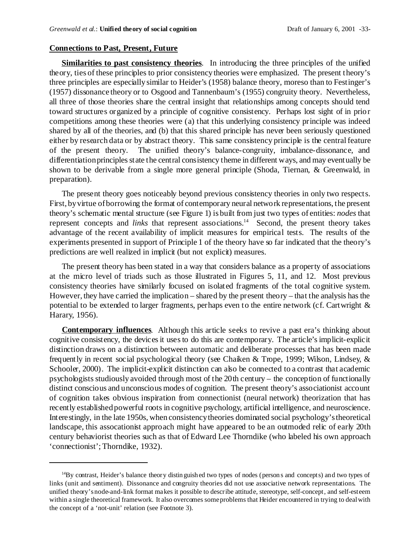#### **Connections to Past, Present, Future**

**Similarities to past consistency theories**. In introducing the three principles of the unified theory, ties of these principles to prior consistency theories were emphasized. The present theory's three principles are especially similar to Heider's (1958) balance theory, moreso than to Festinger's (1957) dissonance theory or to Osgood and Tannenbaum's (1955) congruity theory. Nevertheless, all three of those theories share the central insight that relationships among concepts should tend toward structures organized by a principle of cognitive consistency. Perhaps lost sight of in prior competitions among these theories were (a) that this underlying consistency principle was indeed shared by all of the theories, and (b) that this shared principle has never been seriously questioned either by research data or by abstract theory. This same consistency principle is the central feature of the present theory. The unified theory's balance-congruity, imbalance-dissonance, and differentiation principles state the central consistency theme in different ways, and may eventually be shown to be derivable from a single more general principle (Shoda, Tiernan, & Greenwald, in preparation).

The present theory goes noticeably beyond previous consistency theories in only two respects. First, by virtue of borrowing the format of contemporary neural network representations, the present theory's schematic mental structure (see Figure 1) is built from just two types of entities: *nodes* that represent concepts and *links* that represent associations.<sup>14</sup> Second, the present theory takes advantage of the recent availability of implicit measures for empirical tests. The results of the experiments presented in support of Principle 1 of the theory have so far indicated that the theory's predictions are well realized in implicit (but not explicit) measures.

The present theory has been stated in a way that considers balance as a property of associations at the micro level of triads such as those illustrated in Figures 5, 11, and 12. Most previous consistency theories have similarly focused on isolated fragments of the total cognitive system. However, they have carried the implication – shared by the present theory – that the analysis has the potential to be extended to larger fragments, perhaps even to the entire network (cf. Cartwright & Harary, 1956).

**Contemporary influences**. Although this article seeks to revive a past era's thinking about cognitive consistency, the devices it uses to do this are contemporary. The article's implicit-explicit distinction draws on a distinction between automatic and deliberate processes that has been made frequently in recent social psychological theory (see Chaiken & Trope, 1999; Wilson, Lindsey, & Schooler, 2000). The implicit-explicit distinction can also be connected to a contrast that academic psychologists studiously avoided through most of the 20th century – the conception of functionally distinct conscious and unconscious modes of cognition. The present theory's associationist account of cognition takes obvious inspiration from connectionist (neural network) theorization that has recently established powerful roots in cognitive psychology, artificial intelligence, and neuroscience. Interestingly, in the late 1950s, when consistency theories dominated social psychology's theoretical landscape, this assocationist approach might have appeared to be an outmoded relic of early 20th century behaviorist theories such as that of Edward Lee Thorndike (who labeled his own approach 'connectionist'; Thorndike, 1932).

<sup>&</sup>lt;sup>14</sup>By contrast, Heider's balance theory distin guished two types of nodes (persons and concepts) and two types of links (unit and sentiment). Dissonance and congruity theories did not use associative network representations. The unified theory's node-and-link format makes it possible to describe attitude, stereotype, self-concept, and self-esteem within a single theoretical framework. It also overcomes some problems that Heider encountered in trying to deal with the concept of a 'not-unit' relation (see Footnote 3).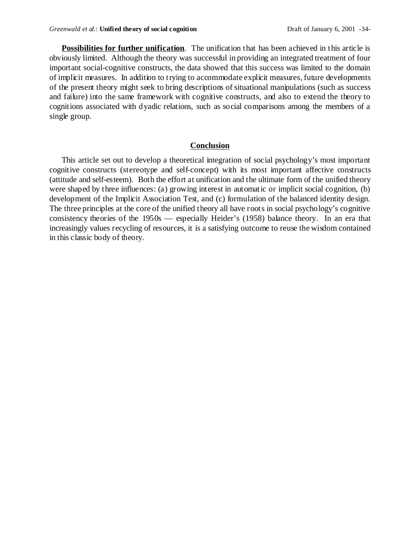**Possibilities for further unification**. The unification that has been achieved in this article is obviously limited. Although the theory was successful in providing an integrated treatment of four important social-cognitive constructs, the data showed that this success was limited to the domain of implicit measures. In addition to trying to accommodate explicit measures, future developments of the present theory might seek to bring descriptions of situational manipulations (such as success and failure) into the same framework with cognitive constructs, and also to extend the theory to cognitions associated with dyadic relations, such as social comparisons among the members of a single group.

### **Conclusion**

This article set out to develop a theoretical integration of social psychology's most important cognitive constructs (stereotype and self-concept) with its most important affective constructs (attitude and self-esteem). Both the effort at unification and the ultimate form of the unified theory were shaped by three influences: (a) growing interest in automatic or implicit social cognition, (b) development of the Implicit Association Test, and (c) formulation of the balanced identity design. The three principles at the core of the unified theory all have roots in social psychology's cognitive consistency theories of the 1950s — especially Heider's (1958) balance theory. In an era that increasingly values recycling of resources, it is a satisfying outcome to reuse the wisdom contained in this classic body of theory.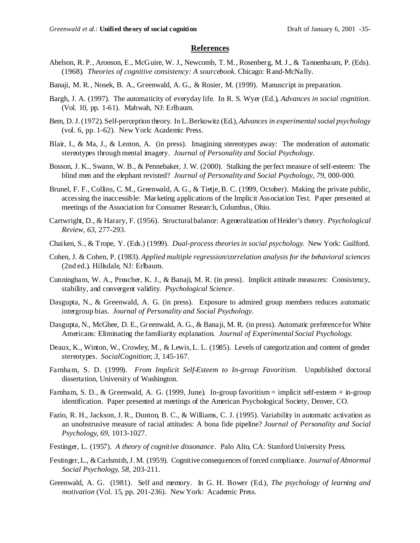#### **References**

- Abelson, R. P., Aronson, E., McGuire, W. J., Newcomb, T. M., Rosenberg, M. J., & Tannenbaum, P. (Eds). (1968). *Theories of cognitive consistency: A sourcebook*. Chicago: Rand-McNally.
- Banaji, M. R., Nosek, B. A., Greenwald, A. G., & Rosier, M. (1999). Manuscript in preparation.
- Bargh, J. A. (1997). The automaticity of everyday life. In R. S. Wyer (Ed.), *Advances in social cognition*. (Vol. 10, pp. 1-61). Mahwah, NJ: Erlbaum.
- Bem, D. J. (1972). Self-perception theory. In L. Berkowitz (Ed.), *Advances in experimental social psychology* (vol. 6, pp. 1-62). New York: Academic Press.
- Blair, I., & Ma, J., & Lenton, A. (in press). Imagining stereotypes away: The moderation of automatic stereotypes through mental imagery. *Journal of Personality and Social Psychology*.
- Bosson, J. K., Swann, W. B., & Pennebaker, J. W. (2000). Stalking the perfect measure of self-esteem: The blind men and the elephant revisted? *Journal of Personality and Social Psychology*, *79*, 000-000.
- Brunel, F. F., Collins, C. M., Greenwald, A. G., & Tietje, B. C. (1999, October). Making the private public, accessing the inaccessible: Marketing applications of the Implicit Association Test. Paper presented at meetings of the Association for Consumer Research, Columbus, Ohio.
- Cartwright, D., & Harary, F. (1956). Structural balance: A generalization of Heider's theory. *Psychological Review*, *63*, 277-293.
- Chaiken, S., & Trope, Y. (Eds.) (1999). *Dual-process theories in social psychology*. New York: Guilford.
- Cohen, J. & Cohen, P. (1983). *Applied multiple regression/correlation analysis for the behavioral sciences* (2nd ed.). Hillsdale, NJ: Erlbaum.
- Cunningham, W. A., Preacher, K. J., & Banaji, M. R. (in press). Implicit attitude measures: Consistency, stability, and convergent validity. *Psychological Science*.
- Dasgupta, N., & Greenwald, A. G. (in press). Exposure to admired group members reduces automatic intergroup bias. *Journal of Personality and Social Psychology*.
- Dasgupta, N., McGhee, D. E., Greenwald, A. G., & Banaji, M. R. (in press). Automatic preference for White Americans: Eliminating the familiarity explanation. *Journal of Experimental Social Psychology*.
- Deaux, K., Winton, W., Crowley, M., & Lewis, L. L. (1985). Levels of categorization and content of gender stereotypes. *SocialCognition*; *3*, 145-167.
- Farnham, S. D. (1999). *From Implicit Self-Esteem to In-group Favoritism*. Unpublished doctoral dissertation, University of Washington.
- Farnham, S. D., & Greenwald, A. G. (1999, June). In-group favoritism = implicit self-esteem  $\times$  in-group identification. Paper presented at meetings of the American Psychological Society, Denver, CO.
- Fazio, R. H., Jackson, J. R., Dunton, B. C., & Williams, C. J. (1995). Variability in automatic activation as an unobstrusive measure of racial attitudes: A bona fide pipeline? *Journal of Personality and Social Psychology*, *69*, 1013-1027.
- Festinger, L. (1957). *A theory of cognitive dissonance*. Palo Alto, CA: Stanford University Press.
- Festinger, L., & Carlsmith, J. M. (1959). Cognitive consequences of forced compliance. *Journal of Abnormal Social Psychology*, *58*, 203-211.
- Greenwald, A. G. (1981). Self and memory. In G. H. Bower (Ed.), *The psychology of learning and motivation* (Vol. 15, pp. 201-236). New York: Academic Press.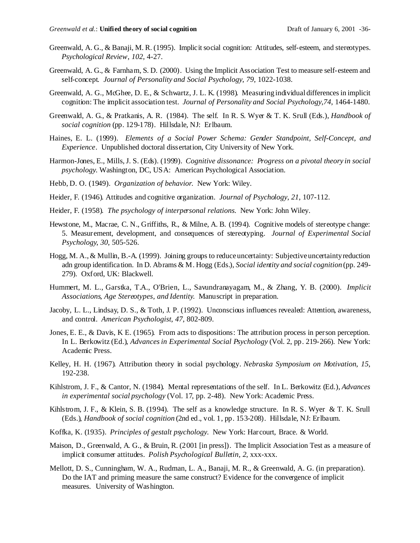- Greenwald, A. G., & Banaji, M. R. (1995). Implicit social cognition: Attitudes, self-esteem, and stereotypes. *Psychological Review*, *102*, 4-27.
- Greenwald, A. G., & Farnham, S. D. (2000). Using the Implicit Association Test to measure self-esteem and self-concept. *Journal of Personality and Social Psychology*, *79*, 1022-1038.
- Greenwald, A. G., McGhee, D. E., & Schwartz, J. L. K. (1998). Measuring individual differences in implicit cognition: The implicit association test. *Journal of Personality and Social Psychology*,*74*, 1464-1480.
- Greenwald, A. G., & Pratkanis, A. R. (1984). The self. In R. S. Wyer & T. K. Srull (Eds.), *Handbook of social cognition* (pp. 129-178). Hillsdale, NJ: Erlbaum.
- Haines, E. L. (1999). *Elements of a Social Power Schema: Gender Standpoint, Self-Concept, and Experience*. Unpublished doctoral dissertation, City University of New York.
- Harmon-Jones, E., Mills, J. S. (Eds). (1999). *Cognitive dissonance: Progress on a pivotal theory in social psychology*. Washington, DC, USA: American Psychological Association.
- Hebb, D. O. (1949). *Organization of behavior*. New York: Wiley.
- Heider, F. (1946). Attitudes and cognitive organization. *Journal of Psychology*, *21*, 107-112.
- Heider, F. (1958). *The psychology of interpersonal relations*. New York: John Wiley.
- Hewstone, M., Macrae, C. N., Griffiths, R., & Milne, A. B. (1994). Cognitive models of stereotype change: 5. Measurement, development, and consequences of stereotyping. *Journal of Experimental Social Psychology*, *30*, 505-526.
- Hogg, M. A., & Mullin, B.-A. (1999). Joining groups to reduce uncertainty: Subjective uncertainty reduction adn group identification. In D. Abrams & M. Hogg (Eds.), *Social identity and social cognition* (pp. 249- 279). Oxford, UK: Blackwell.
- Hummert, M. L., Garstka, T.A., O'Brien, L., Savundranayagam, M., & Zhang, Y. B. (2000). *Implicit Associations, Age Stereotypes, and Identity*. Manuscript in preparation.
- Jacoby, L. L., Lindsay, D. S., & Toth, J. P. (1992). Unconscious influences revealed: Attention, awareness, and control. *American Psychologist*, *47*, 802-809.
- Jones, E. E., & Davis, K E. (1965). From acts to dispositions: The attribution process in person perception. In L. Berkowitz (Ed.), *Advances in Experimental Social Psychology* (Vol. 2, pp. 219-266). New York: Academic Press.
- Kelley, H. H. (1967). Attribution theory in social psychology. *Nebraska Symposium on Motivation*, *15*, 192-238.
- Kihlstrom, J. F., & Cantor, N. (1984). Mental representations of the self. In L. Berkowitz (Ed.), *Advances in experimental social psychology* (Vol. 17, pp. 2-48). New York: Academic Press.
- Kihlstrom, J. F., & Klein, S. B. (1994). The self as a knowledge structure. In R. S. Wyer & T. K. Srull (Eds.), *Handbook of social cognition* (2nd ed., vol. 1, pp. 153-208). Hillsdale, NJ: Erlbaum.
- Koffka, K. (1935). *Principles of gestalt psychology*. New York: Harcourt, Brace. & World.
- Maison, D., Greenwald, A. G., & Bruin, R. (2001 [in press]). The Implicit Association Test as a measure of implicit consumer attitudes. *Polish Psychological Bulletin, 2*, xxx-xxx.
- Mellott, D. S., Cunningham, W. A., Rudman, L. A., Banaji, M. R., & Greenwald, A. G. (in preparation). Do the IAT and priming measure the same construct? Evidence for the convergence of implicit measures. University of Washington.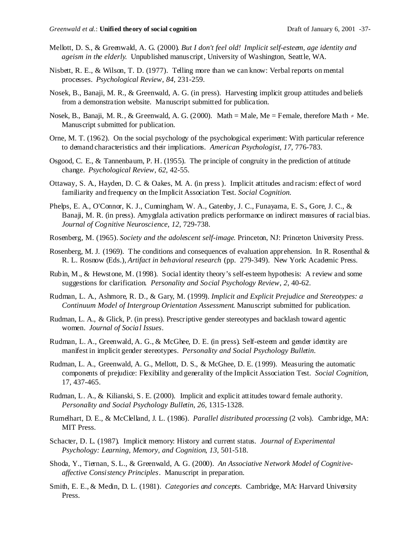- Mellott, D. S., & Greenwald, A. G. (2000). *But I don't feel old! Implicit self-esteem, age identity and ageism in the elderly*. Unpublished manuscript, University of Washington, Seattle, WA.
- Nisbett, R. E., & Wilson, T. D. (1977). Telling more than we can know: Verbal reports on mental processes. *Psychological Review*, *84*, 231-259.
- Nosek, B., Banaji, M. R., & Greenwald, A. G. (in press). Harvesting implicit group attitudes and beliefs from a demonstration website. Manuscript submitted for publication.
- Nosek, B., Banaji, M. R., & Greenwald, A. G. (2000). Math = Male, Me = Female, therefore Math  $\neq$  Me. Manuscript submitted for publication.
- Orne, M. T. (1962). On the social psychology of the psychological experiment: With particular reference to demand characteristics and their implications. *American Psychologist*, *17*, 776-783.
- Osgood, C. E., & Tannenbaum, P. H. (1955). The principle of congruity in the prediction of attitude change. *Psychological Review*, *62*, 42-55.
- Ottaway, S. A., Hayden, D. C. & Oakes, M. A. (in press ). Implicit attitudes and racism: effect of word familiarity and frequency on the Implicit Association Test. *Social Cognition*.
- Phelps, E. A., O'Connor, K. J., Cunningham, W. A., Gatenby, J. C., Funayama, E. S., Gore, J. C., & Banaji, M. R. (in press). Amygdala activation predicts performance on indirect measures of racial bias. *Journal of Cognitive Neuroscience*, *12*, 729-738.
- Rosenberg, M. (1965). *Society and the adolescent self-image*. Princeton, NJ: Princeton University Press.
- Rosenberg, M. J. (1969). The conditions and consequences of evaluation apprehension. In R. Rosenthal  $\&$ R. L. Rosnow (Eds.), *Artifact in behavioral research* (pp. 279-349). New York: Academic Press.
- Rubin, M., & Hewstone, M. (1998). Social identity theory's self-esteem hypothesis: A review and some suggestions for clarification. *Personality and Social Psychology Review*, *2*, 40-62.
- Rudman, L. A., Ashmore, R. D., & Gary, M. (1999). *Implicit and Explicit Prejudice and Stereotypes: a Continuum Model of Intergroup Orientation Assessment*. Manuscript submitted for publication.
- Rudman, L. A., & Glick, P. (in press). Prescriptive gender stereotypes and backlash toward agentic women. *Journal of Social Issues*.
- Rudman, L. A., Greenwald, A. G., & McGhee, D. E. (in press). Self-esteem and gender identity are manifest in implicit gender stereotypes. *Personality and Social Psychology Bulletin*.
- Rudman, L. A., Greenwald, A. G., Mellott, D. S., & McGhee, D. E. (1999). Measuring the automatic components of prejudice: Flexibility and generality of the Implicit Association Test. *Social Cognition*, 17, 437-465.
- Rudman, L. A., & Kilianski, S. E. (2000). Implicit and explicit attitudes toward female authority. *Personality and Social Psychology Bulletin*, *26*, 1315-1328.
- Rumelhart, D. E., & McClelland, J. L. (1986). *Parallel distributed processing* (2 vols). Cambridge, MA: MIT Press.
- Schacter, D. L. (1987). Implicit memory: History and current status. *Journal of Experimental Psychology: Learning, Memory, and Cognition*, *13*, 501-518.
- Shoda, Y., Tiernan, S. L., & Greenwald, A. G. (2000). *An Associative Network Model of Cognitiveaffective Consistency Principles*. Manuscript in preparation.
- Smith, E. E., & Medin, D. L. (1981). *Categories and concepts*. Cambridge, MA: Harvard University Press.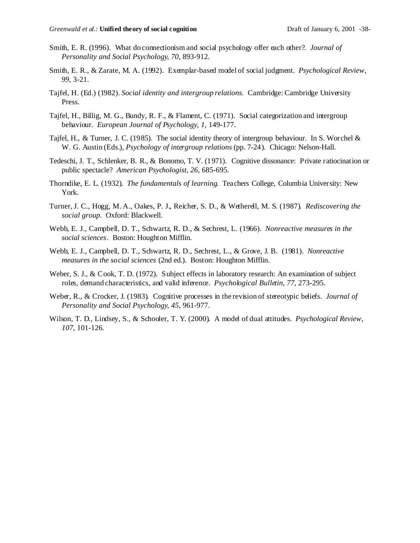- Smith, E. R. (1996). What do connectionism and social psychology offer each other?. *Journal of Personality and Social Psychology*, *70*, 893-912.
- Smith, E. R., & Zarate, M. A. (1992). Exemplar-based model of social judgment. *Psychological Review*, *99*, 3-21.
- Tajfel, H. (Ed.) (1982). *Social identity and intergroup relations*. Cambridge: Cambridge University Press.
- Tajfel, H., Billig, M. G., Bundy, R. F., & Flament, C. (1971). Social categorization and intergroup behaviour. *European Journal of Psychology*, *1*, 149-177.
- Tajfel, H., & Turner, J. C. (1985). The social identity theory of intergroup behaviour. In S. Worchel & W. G. Austin (Eds.), *Psychology of intergroup relations* (pp. 7-24). Chicago: Nelson-Hall.
- Tedeschi, J. T., Schlenker, B. R., & Bonomo, T. V. (1971). Cognitive dissonance: Private ratiocination or public spectacle? *American Psychologist*, *26*, 685-695.
- Thorndike, E. L. (1932). *The fundamentals of learning*. Teachers College, Columbia University: New York.
- Turner, J. C., Hogg, M. A., Oakes, P. J., Reicher, S. D., & Wetherell, M. S. (1987). *Rediscovering the social group*. Oxford: Blackwell.
- Webb, E. J., Campbell, D. T., Schwartz, R. D., & Sechrest, L. (1966). *Nonreactive measures in the social sciences*. Boston: Houghton Mifflin.
- Webb, E. J., Campbell, D. T., Schwartz, R. D., Sechrest, L., & Grove, J. B. (1981). *Nonreactive measures in the social sciences* (2nd ed.). Boston: Houghton Mifflin.
- Weber, S. J., & Cook, T. D. (1972). Subject effects in laboratory research: An examination of subject roles, demand characteristics, and valid inference. *Psychological Bulletin*, *77*, 273-295.
- Weber, R., & Crocker, J. (1983). Cognitive processes in the revision of stereotypic beliefs. *Journal of Personality and Social Psychology*, *45*, 961-977.
- Wilson, T. D., Lindsey, S., & Schooler, T. Y. (2000). A model of dual attitudes. *Psychological Review*, *107*, 101-126.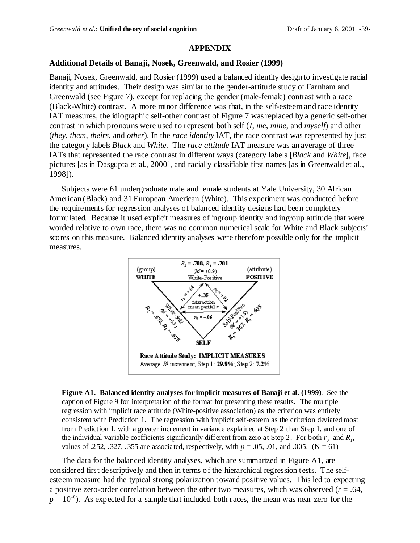## **APPENDIX**

### **Additional Details of Banaji, Nosek, Greenwald, and Rosier (1999)**

Banaji, Nosek, Greenwald, and Rosier (1999) used a balanced identity design to investigate racial identity and attitudes. Their design was similar to the gender-attitude study of Farnham and Greenwald (see Figure 7), except for replacing the gender (male-female) contrast with a race (Black-White) contrast. A more minor difference was that, in the self-esteem and race identity IAT measures, the idiographic self-other contrast of Figure 7 was replaced by a generic self-other contrast in which pronouns were used to represent both self (*I*, *me*, *mine*, and *myself*) and other (*they*, *them*, *theirs*, and *other*). In the *race identity* IAT, the race contrast was represented by just the category labels *Black* and *White*. The *race attitude* IAT measure was an average of three IATs that represented the race contrast in different ways (category labels [*Black* and *White*], face pictures [as in Dasgupta et al., 2000], and racially classifiable first names [as in Greenwald et al., 1998]).

Subjects were 61 undergraduate male and female students at Yale University, 30 African American (Black) and 31 European American (White). This experiment was conducted before the requirements for regression analyses of balanced identity designs had been completely formulated. Because it used explicit measures of ingroup identity and ingroup attitude that were worded relative to own race, there was no common numerical scale for White and Black subjects' scores on this measure. Balanced identity analyses were therefore possible only for the implicit measures.



**Figure A1. Balanced identity analyses for implicit measures of Banaji et al. (1999)**. See the caption of Figure 9 for interpretation of the format for presenting these results. The multiple regression with implicit race attitude (White-positive association) as the criterion was entirely consistent with Prediction 1. The regression with implicit self-esteem as the criterion deviated most from Prediction 1, with a greater increment in variance explained at Step 2 than Step 1, and one of the individual-variable coefficients significantly different from zero at Step 2. For both  $r_0$  and  $R_1$ , values of .252, .327, .355 are associated, respectively, with  $p = .05, .01,$  and .005. (N = 61)

The data for the balanced identity analyses, which are summarized in Figure A1, are considered first descriptively and then in terms of the hierarchical regression tests. The selfesteem measure had the typical strong polarization toward positive values. This led to expecting a positive zero-order correlation between the other two measures, which was observed (*r* = .64,  $p = 10^{-8}$ ). As expected for a sample that included both races, the mean was near zero for the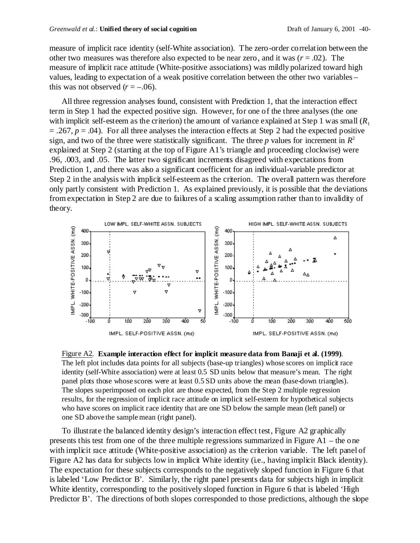measure of implicit race identity (self-White association). The zero-order correlation between the other two measures was therefore also expected to be near zero, and it was  $(r = .02)$ . The measure of implicit race attitude (White-positive associations) was mildly polarized toward high values, leading to expectation of a weak positive correlation between the other two variables – this was not observed  $(r = -.06)$ .

All three regression analyses found, consistent with Prediction 1, that the interaction effect term in Step 1 had the expected positive sign. However, for one of the three analyses (the one with implicit self-esteem as the criterion) the amount of variance explained at Step 1 was small  $(R_1, R_2)$  $= .267$ ,  $p = .04$ ). For all three analyses the interaction effects at Step 2 had the expected positive sign, and two of the three were statistically significant. The three  $p$  values for increment in  $R^2$ explained at Step 2 (starting at the top of Figure A1's triangle and proceeding clockwise) were .96, .003, and .05. The latter two significant increments disagreed with expectations from Prediction 1, and there was also a significant coefficient for an individual-variable predictor at Step 2 in the analysis with implicit self-esteem as the criterion. The overall pattern was therefore only partly consistent with Prediction 1. As explained previously, it is possible that the deviations from expectation in Step 2 are due to failures of a scaling assumption rather than to invalidity of theory.



Figure A2. **Example interaction effect for implicit measure data from Banaji et al. (1999)**. The left plot includes data points for all subjects (base-up triangles) whose scores on implicit race identity (self-White association) were at least 0.5 SD units below that measure's mean. The right panel plots those whose scores were at least 0.5 SD units above the mean (base-down triangles). The slopes superimposed on each plot are those expected, from the Step 2 multiple regression results, for the regression of implicit race attitude on implicit self-esteem for hypothetical subjects who have scores on implicit race identity that are one SD below the sample mean (left panel) or one SD above the sample mean (right panel).

To illustrate the balanced identity design's interaction effect test, Figure A2 graphically presents this test from one of the three multiple regressions summarized in Figure A1 – the one with implicit race attitude (White-positive association) as the criterion variable. The left panel of Figure A2 has data for subjects low in implicit White identity (i.e., having implicit Black identity). The expectation for these subjects corresponds to the negatively sloped function in Figure 6 that is labeled 'Low Predictor B'. Similarly, the right panel presents data for subjects high in implicit White identity, corresponding to the positively sloped function in Figure 6 that is labeled 'High Predictor B'. The directions of both slopes corresponded to those predictions, although the slope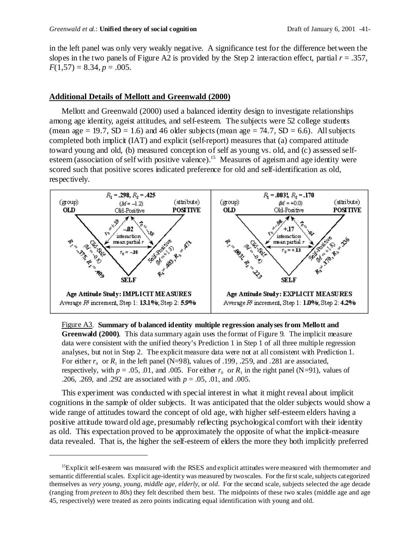in the left panel was only very weakly negative. A significance test for the difference between the slopes in the two panels of Figure A2 is provided by the Step 2 interaction effect, partial  $r = .357$ ,  $F(1,57) = 8.34, p = .005.$ 

## **Additional Details of Mellott and Greenwald (2000)**

Mellott and Greenwald (2000) used a balanced identity design to investigate relationships among age identity, ageist attitudes, and self-esteem. The subjects were 52 college students (mean age = 19.7, SD = 1.6) and 46 older subjects (mean age = 74.7, SD = 6.6). All subjects completed both implicit (IAT) and explicit (self-report) measures that (a) compared attitude toward young and old, (b) measured conception of self as young vs. old, and (c) assessed selfesteem (association of self with positive valence).<sup>15</sup> Measures of ageism and age identity were scored such that positive scores indicated preference for old and self-identification as old, respectively.



Figure A3. **Summary of balanced identity multiple regression analyses from Mellott and Greenwald (2000)**. This data summary again uses the format of Figure 9. The implicit measure data were consistent with the unified theory's Prediction 1 in Step 1 of all three multiple regression analyses, but not in Step 2. The explicit measure data were not at all consistent with Prediction 1. For either  $r_0$  or  $R_1$  in the left panel (N=98), values of .199, .259, and .281 are associated, respectively, with  $p = .05, .01$ , and  $.005$ . For either  $r_0$  or  $R_1$  in the right panel (N=91), values of .206, .269, and .292 are associated with *p* = .05, .01, and .005.

This experiment was conducted with special interest in what it might reveal about implicit cognitions in the sample of older subjects. It was anticipated that the older subjects would show a wide range of attitudes toward the concept of old age, with higher self-esteem elders having a positive attitude toward old age, presumably reflecting psychological comfort with their identity as old. This expectation proved to be approximately the opposite of what the implicit-measure data revealed. That is, the higher the self-esteem of elders the more they both implicitly preferred

<sup>&</sup>lt;sup>15</sup>Explicit self-esteem was measured with the RSES and explicit attitudes were measured with thermometer and semantic differential scales. Explicit age-identity was measured by two scales. For the first scale, subjects categorized themselves as *very young*, *young*, *middle age*, *elderly*, or *old*. For the second scale, subjects selected the age decade (ranging from *preteen* to *80s*) they felt described them best. The midpoints of these two scales (middle age and age 45, respectively) were treated as zero points indicating equal identification with young and old.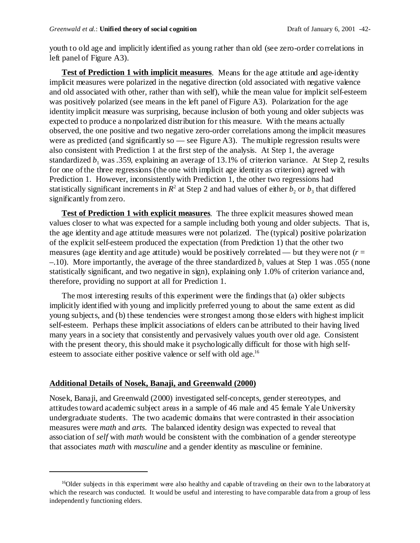youth to old age and implicitly identified as young rather than old (see zero-order correlations in left panel of Figure A3).

**Test of Prediction 1 with implicit measures**. Means for the age attitude and age-identity implicit measures were polarized in the negative direction (old associated with negative valence and old associated with other, rather than with self), while the mean value for implicit self-esteem was positively polarized (see means in the left panel of Figure A3). Polarization for the age identity implicit measure was surprising, because inclusion of both young and older subjects was expected to produce a nonpolarized distribution for this measure. With the means actually observed, the one positive and two negative zero-order correlations among the implicit measures were as predicted (and significantly so — see Figure A3). The multiple regression results were also consistent with Prediction 1 at the first step of the analysis. At Step 1, the average standardized  $b_1$  was .359, explaining an average of 13.1% of criterion variance. At Step 2, results for one of the three regressions (the one with implicit age identity as criterion) agreed with Prediction 1. However, inconsistently with Prediction 1, the other two regressions had statistically significant increments in  $R^2$  at Step 2 and had values of either  $b_2$  or  $b_3$  that differed significantly from zero.

**Test of Prediction 1 with explicit measures**. The three explicit measures showed mean values closer to what was expected for a sample including both young and older subjects. That is, the age identity and age attitude measures were not polarized. The (typical) positive polarization of the explicit self-esteem produced the expectation (from Prediction 1) that the other two measures (age identity and age attitude) would be positively correlated — but they were not  $(r =$  $-10$ ). More importantly, the average of the three standardized  $b<sub>1</sub>$  values at Step 1 was  $.055$  (none statistically significant, and two negative in sign), explaining only 1.0% of criterion variance and, therefore, providing no support at all for Prediction 1.

The most interesting results of this experiment were the findings that (a) older subjects implicitly identified with young and implicitly preferred young to about the same extent as did young subjects, and (b) these tendencies were strongest among those elders with highest implicit self-esteem. Perhaps these implicit associations of elders can be attributed to their having lived many years in a society that consistently and pervasively values youth over old age. Consistent with the present theory, this should make it psychologically difficult for those with high selfesteem to associate either positive valence or self with old age.<sup>16</sup>

#### **Additional Details of Nosek, Banaji, and Greenwald (2000)**

Nosek, Banaji, and Greenwald (2000) investigated self-concepts, gender stereotypes, and attitudes toward academic subject areas in a sample of 46 male and 45 female Yale University undergraduate students. The two academic domains that were contrasted in their association measures were *math* and *arts*. The balanced identity design was expected to reveal that association of *self* with *math* would be consistent with the combination of a gender stereotype that associates *math* with *masculine* and a gender identity as masculine or feminine.

 $16$ Older subjects in this experiment were also healthy and capable of traveling on their own to the laboratory at which the research was conducted. It would be useful and interesting to have comparable data from a group of less independently functioning elders.